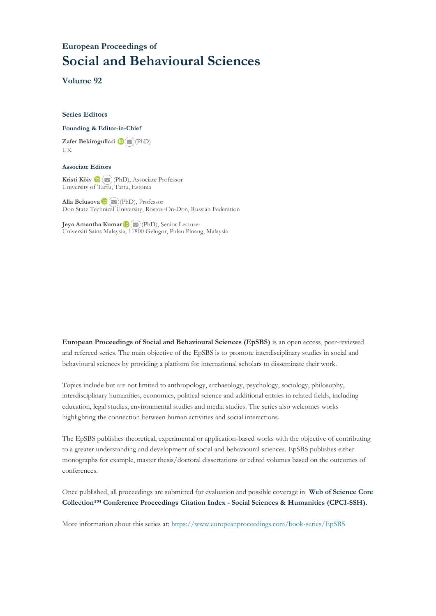# **European Proceedings of Social and Behavioural Sciences**

**Volume 92**

### **Series Editors**

### **Founding & Editor-in-Chief**

**Zafer Bekirogullari**(PhD) UK

### **Associate Editors**

**Kristi Köiv** (PhD), Associate Professor University of Tartu, Tartu, Estonia

**Alla Belusova**(PhD), Professor Don State Technical University, Rostov-On-Don, Russian Federation

**Jeya Amantha Kumar**(PhD), Senior Lecturer Universiti Sains Malaysia, [1180](mailto:amantha@usm.my)0 Gelugor, Pulau Pinang, Malaysia

**European Proceedings of Social and Behavioural Sciences (EpSBS)** is an open access, peer-reviewed and refereed series. The main objective of the EpSBS is to promote interdisciplinary studies in social and behavioural sciences by providing a platform for international scholars to disseminate their work.

Topics include but are not limited to anthropology, archaeology, psychology, sociology, philosophy, interdisciplinary humanities, economics, political science and additional entries in related fields, including education, legal studies, environmental studies and media studies. The series also welcomes works highlighting the connection between human activities and social interactions.

The EpSBS publishes theoretical, experimental or application-based works with the objective of contributing to a greater understanding and development of social and behavioural sciences. EpSBS publishes either monographs for example, master thesis/doctoral dissertations or edited volumes based on the outcomes of conferences.

Once published, all proceedings are submitted for evaluation and possible coverage in **Web of [Science](https://clarivate.com/webofsciencegroup/solutions/webofscience-cpci/) Core Collection™ Conference Proceedings Citation Index - Social Sciences & Humanities [\(CPCI-SSH\).](https://clarivate.com/webofsciencegroup/solutions/webofscience-cpci/)**

More information about this series at[: https://www.europeanproceedings.com/book-series/EpSBS](https://www.europeanproceedings.com/book-series/EpSBS)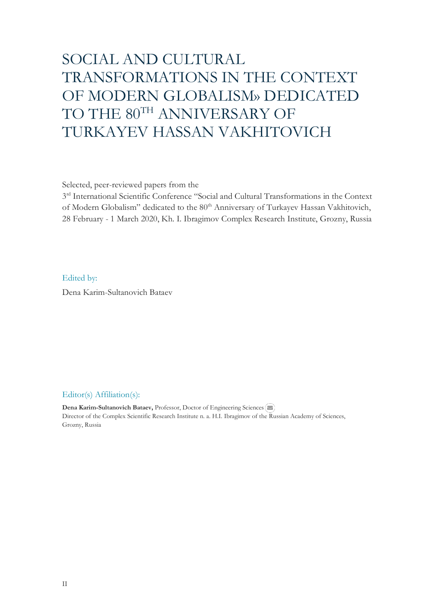# SOCIAL AND CULTURAL TRANSFORMATIONS IN THE CONTEXT OF MODERN GLOBALISM» DEDICATED TO THE 80TH ANNIVERSARY OF TURKAYEV HASSAN VAKHITOVICH

Selected, peer-reviewed papers from the

3<sup>rd</sup> International Scientific Conference "Social and Cultural Transformations in the Context of Modern Globalism" dedicated to the 80<sup>th</sup> Anniversary of Turkayev Hassan Vakhitovich, 28 February - 1 March 2020, Kh. I. Ibragimov Complex Research Institute, Grozny, Russia

### Edited by:

Dena Karim-Sultanovich Bataev

### Editor(s) Affiliation(s):

**Dena Karim-Sultanovich Bataev, Professor, Doctor of Engineering Sciences** Director of the Complex Scientific Research Institute n. a. H.I. Ibragimov of the Russian Academy of Sciences, Grozny, Russia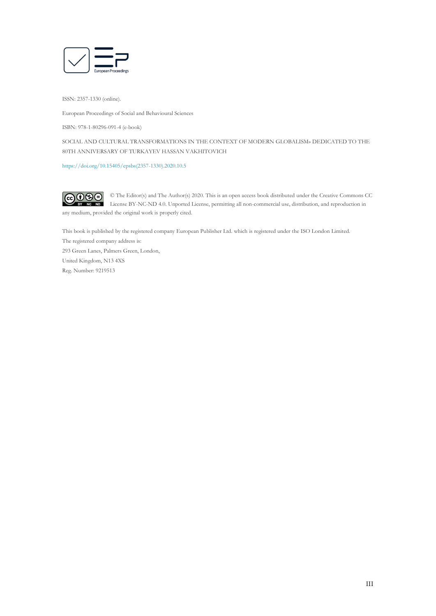

ISSN: 2357-1330 (online).

European Proceedings of Social and Behavioural Sciences

ISBN: 978-1-80296-091-4 (e-book)

SOCIAL AND CULTURAL TRANSFORMATIONS IN THE CONTEXT OF MODERN GLOBALISM» DEDICATED TO THE 80TH ANNIVERSARY OF TURKAYEV HASSAN VAKHITOVICH

[https://doi.org/10.15405/epsbs\(2357-1330\).2020.10.5](https://doi.org/10.15405/epsbs(2357-1330).2020.10.5)

 $CO$  $O$  $O$  $O$ © The Editor(s) and The Author(s) 2020. This is an open access book distributed under the Creative Commons CC License BY-NC-ND 4.0. Unported License, permitting all non-commercial use, distribution, and reproduction in any medium, provided the original work is properly cited.

This book is published by the registered company European Publisher Ltd. which is registered under the ISO London Limited.

The registered company address is: 293 Green Lanes, Palmers Green, London, United Kingdom, N13 4XS Reg. Number: 9219513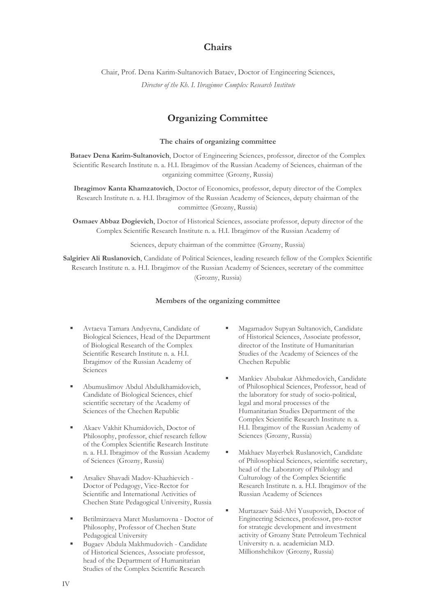## **Chairs**

Chair, Prof. Dena Karim-Sultanovich Bataev, Doctor of Engineering Sciences, *Director of the Kh. I. Ibragimov Complex Research Institute*

## **Organizing Committee**

### **The chairs of organizing committee**

**Bataev Dena Karim-Sultanovich**, Doctor of Engineering Sciences, professor, director of the Complex Scientific Research Institute n. a. H.I. Ibragimov of the Russian Academy of Sciences, chairman of the organizing committee (Grozny, Russia)

**Ibragimov Kanta Khamzatovich**, Doctor of Economics, professor, deputy director of the Complex Research Institute n. a. H.I. Ibragimov of the Russian Academy of Sciences, deputy chairman of the committee (Grozny, Russia)

**Osmaev Abbaz Dogievich**, Doctor of Historical Sciences, associate professor, deputy director of the Complex Scientific Research Institute n. a. H.I. Ibragimov of the Russian Academy of

Sciences, deputy chairman of the committee (Grozny, Russia)

**Salgiriev Ali Ruslanovich**, Candidate of Political Sciences, leading research fellow of the Complex Scientific Research Institute n. a. H.I. Ibragimov of the Russian Academy of Sciences, secretary of the committee (Grozny, Russia)

### **Members of the organizing committee**

- Avtaeva Tamara Andyevna, Candidate of Biological Sciences, Head of the Department of Biological Research of the Complex Scientific Research Institute n. a. H.I. Ibragimov of the Russian Academy of **Sciences**
- Abumuslimov Abdul Abdulkhamidovich, Candidate of Biological Sciences, chief scientific secretary of the Academy of Sciences of the Chechen Republic
- Akaev Vakhit Khumidovich, Doctor of Philosophy, professor, chief research fellow of the Complex Scientific Research Institute n. a. H.I. Ibragimov of the Russian Academy of Sciences (Grozny, Russia)
- Arsaliev Shavadi Madov-Khazhievich Doctor of Pedagogy, Vice-Rector for Scientific and International Activities of Chechen State Pedagogical University, Russia
- Betilmirzaeva Maret Muslamovna Doctor of Philosophy, Professor of Chechen State Pedagogical University
- Bugaev Abdula Makhmudovich Candidate of Historical Sciences, Associate professor, head of the Department of Humanitarian Studies of the Complex Scientific Research
- Magamadov Supyan Sultanovich, Candidate of Historical Sciences, Associate professor, director of the Institute of Humanitarian Studies of the Academy of Sciences of the Chechen Republic
- Mankiev Abubakar Akhmedovich, Candidate of Philosophical Sciences, Professor, head of the laboratory for study of socio-political, legal and moral processes of the Humanitarian Studies Department of the Complex Scientific Research Institute n. a. H.I. Ibragimov of the Russian Academy of Sciences (Grozny, Russia)
- Makhaev Mayerbek Ruslanovich, Candidate of Philosophical Sciences, scientific secretary, head of the Laboratory of Philology and Culturology of the Complex Scientific Research Institute n. a. H.I. Ibragimov of the Russian Academy of Sciences
- Murtazaev Said-Alvi Yusupovich, Doctor of Engineering Sciences, professor, pro-rector for strategic development and investment activity of Grozny State Petroleum Technical University n. a. academician M.D. Millionshchikov (Grozny, Russia)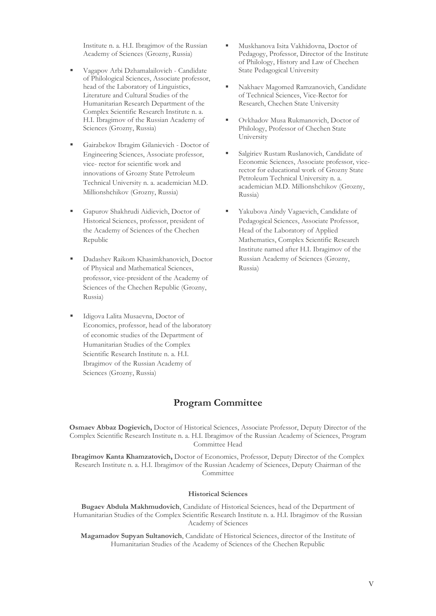Institute n. a. H.I. Ibragimov of the Russian Academy of Sciences (Grozny, Russia)

- Vagapov Arbi Dzhamalailovich Candidate of Philological Sciences, Associate professor, head of the Laboratory of Linguistics, Literature and Cultural Studies of the Humanitarian Research Department of the Complex Scientific Research Institute n. a. H.I. Ibragimov of the Russian Academy of Sciences (Grozny, Russia)
- Gairabekov Ibragim Gilanievich Doctor of Engineering Sciences, Associate professor, vice- rector for scientific work and innovations of Grozny State Petroleum Technical University n. a. academician M.D. Millionshchikov (Grozny, Russia)
- Gapurov Shakhrudi Aidievich, Doctor of Historical Sciences, professor, president of the Academy of Sciences of the Chechen Republic
- Dadashev Raikom Khasimkhanovich, Doctor of Physical and Mathematical Sciences, professor, vice-president of the Academy of Sciences of the Chechen Republic (Grozny, Russia)
- Idigova Lalita Musaevna, Doctor of Economics, professor, head of the laboratory of economic studies of the Department of Humanitarian Studies of the Complex Scientific Research Institute n. a. H.I. Ibragimov of the Russian Academy of Sciences (Grozny, Russia)
- Muskhanova Isita Vakhidovna, Doctor of Pedagogy, Professor, Director of the Institute of Philology, History and Law of Chechen State Pedagogical University
- Nakhaev Magomed Ramzanovich, Candidate of Technical Sciences, Vice-Rector for Research, Chechen State University
- Ovkhadov Musa Rukmanovich, Doctor of Philology, Professor of Chechen State University
- Salgiriev Rustam Ruslanovich, Candidate of Economic Sciences, Associate professor, vicerector for educational work of Grozny State Petroleum Technical University n. a. academician M.D. Millionshchikov (Grozny, Russia)
- Yakubova Aindy Vagaevich, Candidate of Pedagogical Sciences, Associate Professor, Head of the Laboratory of Applied Mathematics, Complex Scientific Research Institute named after H.I. Ibragimov of the Russian Academy of Sciences (Grozny, Russia)

# **Program Committee**

**Osmaev Abbaz Dogievich,** Doctor of Historical Sciences, Associate Professor, Deputy Director of the Complex Scientific Research Institute n. a. H.I. Ibragimov of the Russian Academy of Sciences, Program Committee Head

**Ibragimov Kanta Khamzatovich,** Doctor of Economics, Professor, Deputy Director of the Complex Research Institute n. a. H.I. Ibragimov of the Russian Academy of Sciences, Deputy Chairman of the Committee

### **Historical Sciences**

**Bugaev Abdula Makhmudovich**, Candidate of Historical Sciences, head of the Department of Humanitarian Studies of the Complex Scientific Research Institute n. a. H.I. Ibragimov of the Russian Academy of Sciences

**Magamadov Supyan Sultanovich**, Candidate of Historical Sciences, director of the Institute of Humanitarian Studies of the Academy of Sciences of the Chechen Republic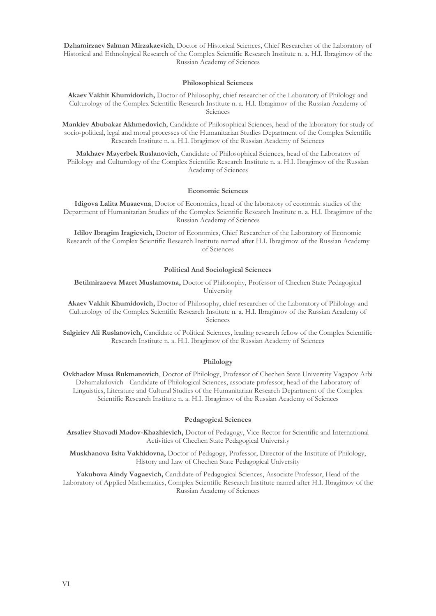**Dzhamirzaev Salman Mirzakaevich**, Doctor of Historical Sciences, Chief Researcher of the Laboratory of Historical and Ethnological Research of the Complex Scientific Research Institute n. a. H.I. Ibragimov of the Russian Academy of Sciences

#### **Philosophical Sciences**

**Akaev Vakhit Khumidovich,** Doctor of Philosophy, chief researcher of the Laboratory of Philology and Culturology of the Complex Scientific Research Institute n. a. H.I. Ibragimov of the Russian Academy of Sciences

**Mankiev Abubakar Akhmedovich**, Candidate of Philosophical Sciences, head of the laboratory for study of socio-political, legal and moral processes of the Humanitarian Studies Department of the Complex Scientific Research Institute n. a. H.I. Ibragimov of the Russian Academy of Sciences

**Makhaev Mayerbek Ruslanovich**, Candidate of Philosophical Sciences, head of the Laboratory of Philology and Culturology of the Complex Scientific Research Institute n. a. H.I. Ibragimov of the Russian Academy of Sciences

#### **Economic Sciences**

**Idigova Lalita Musaevna**, Doctor of Economics, head of the laboratory of economic studies of the Department of Humanitarian Studies of the Complex Scientific Research Institute n. a. H.I. Ibragimov of the Russian Academy of Sciences

**Idilov Ibragim Iragievich,** Doctor of Economics, Chief Researcher of the Laboratory of Economic Research of the Complex Scientific Research Institute named after H.I. Ibragimov of the Russian Academy of Sciences

#### **Political And Sociological Sciences**

**Betilmirzaeva Maret Muslamovna,** Doctor of Philosophy, Professor of Chechen State Pedagogical University

**Akaev Vakhit Khumidovich,** Doctor of Philosophy, chief researcher of the Laboratory of Philology and Culturology of the Complex Scientific Research Institute n. a. H.I. Ibragimov of the Russian Academy of Sciences

**Salgiriev Ali Ruslanovich,** Candidate of Political Sciences, leading research fellow of the Complex Scientific Research Institute n. a. H.I. Ibragimov of the Russian Academy of Sciences

### **Philology**

**Ovkhadov Musa Rukmanovich**, Doctor of Philology, Professor of Chechen State University Vagapov Arbi Dzhamalailovich - Candidate of Philological Sciences, associate professor, head of the Laboratory of Linguistics, Literature and Cultural Studies of the Humanitarian Research Department of the Complex Scientific Research Institute n. a. H.I. Ibragimov of the Russian Academy of Sciences

### **Pedagogical Sciences**

**Arsaliev Shavadi Madov-Khazhievich,** Doctor of Pedagogy, Vice-Rector for Scientific and International Activities of Chechen State Pedagogical University

**Muskhanova Isita Vakhidovna,** Doctor of Pedagogy, Professor, Director of the Institute of Philology, History and Law of Chechen State Pedagogical University

**Yakubova Aindy Vagaevich,** Candidate of Pedagogical Sciences, Associate Professor, Head of the Laboratory of Applied Mathematics, Complex Scientific Research Institute named after H.I. Ibragimov of the Russian Academy of Sciences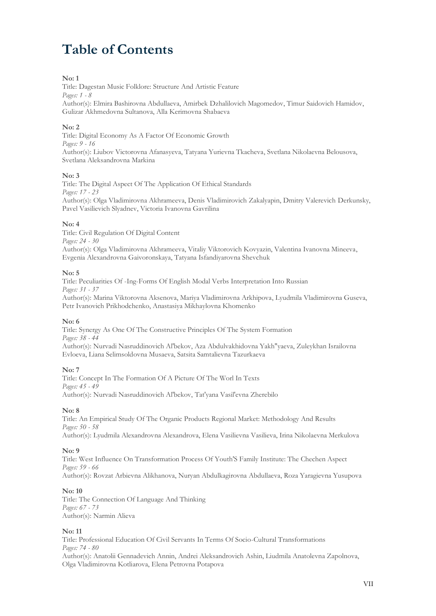# **Table of Contents**

### **No: 1**

Title: Dagestan Music Folklore: Structure And Artistic Feature *Pages: 1 - 8* Author(s): Elmira Bashirovna Abdullaeva, Amirbek Dzhalilovich Magomedov, Timur Saidovich Hamidov, Gulizar Akhmedovna Sultanova, Alla Kerimovna Shabaeva

### **No: 2**

Title: Digital Economy As A Factor Of Economic Growth *Pages: 9 - 16* Author(s): Liubov Victorovna Afanasyeva, Tatyana Yurievna Tkacheva, Svetlana Nikolaevna Belousova, Svetlana Aleksandrovna Markina

### **No: 3**

Title: The Digital Aspect Of The Application Of Ethical Standards *Pages: 17 - 23* Author(s): Olga Vladimirovna Akhrameeva, Denis Vladimirovich Zakalyapin, Dmitry Valerevich Derkunsky, Pavel Vasilievich Slyadnev, Victoria Ivanovna Gavrilina

### **No: 4**

Title: Civil Regulation Of Digital Content *Pages: 24 - 30* Author(s): Olga Vladimirovna Akhrameeva, Vitaliy Viktorovich Kovyazin, Valentina Ivanovna Mineeva, Evgenia Alexandrovna Gaivoronskaya, Tatyana Isfandiyarovna Shevchuk

### **No: 5**

Title: Peculiarities Of -Ing-Forms Of English Modal Verbs Interpretation Into Russian *Pages: 31 - 37* Author(s): Marina Viktorovna Aksenova, Mariya Vladimirovna Arkhipova, Lyudmila Vladimirovna Guseva,

Petr Ivanovich Prikhodchenko, Anastasiya Mikhaylovna Khomenko

### **No: 6**

Title: Synergy As One Of The Constructive Principles Of The System Formation *Pages: 38 - 44* Author(s): Nurvadi Nasruddinovich Al'bekov, Aza Abdulvakhidovna Yakh"yaeva, Zuleykhan Israilovna Evloeva, Liana Selimsoldovna Musaeva, Satsita Samtalievna Tazurkaeva

### **No: 7**

Title: Concept In The Formation Of A Picture Of The Worl In Texts *Pages: 45 - 49* Author(s): Nurvadi Nasruddinovich Al'bekov, Tat'yana Vasil'evna Zherebilo

### **No: 8**

Title: An Empirical Study Of The Organic Products Regional Market: Methodology And Results *Pages: 50 - 58* Author(s): Lyudmila Alexandrovna Alexandrova, Elena Vasilievna Vasilieva, Irina Nikolaevna Merkulova

### **No: 9**

Title: West Influence On Transformation Process Of Youth'S Family Institute: The Chechen Aspect *Pages: 59 - 66* Author(s): Rovzat Arbievna Alikhanova, Nuryan Abdulkagirovna Abdullaeva, Roza Yaragievna Yusupova

### **No: 10**

Title: The Connection Of Language And Thinking *Pages: 67 - 73* Author(s): Narmin Alieva

### **No: 11**

Title: Professional Education Of Civil Servants In Terms Of Socio-Cultural Transformations *Pages: 74 - 80* Author(s): Anatolii Gennadevich Annin, Andrei Aleksandrovich Ashin, Liudmila Anatolevna Zapolnova,

Olga Vladimirovna Kotliarova, Elena Petrovna Potapova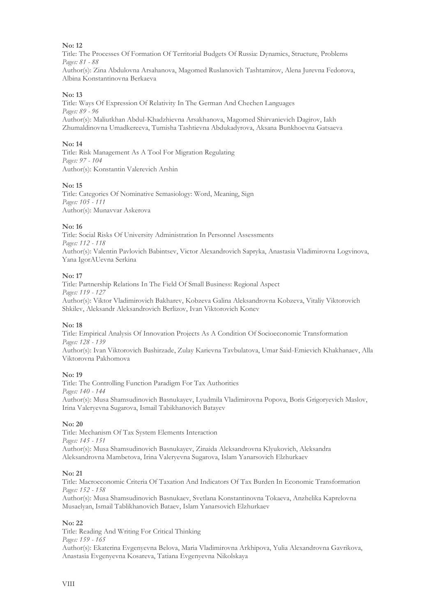Title: The Processes Of Formation Of Territorial Budgets Of Russia: Dynamics, Structure, Problems *Pages: 81 - 88*

Author(s): Zina Abdulovna Arsahanova, Magomed Ruslanovich Tashtamirov, Alena Jurevna Fedorova, Albina Konstantinovna Berkaeva

### **No: 13**

Title: Ways Of Expression Of Relativity In The German And Chechen Languages *Pages: 89 - 96* Author(s): Maliutkhan Abdul-Khadzhievna Arsakhanova, Magomed Shirvanievich Dagirov, Iakh Zhumaldinovna Umadkereeva, Tumisha Tashtievna Abdukadyrova, Aksana Bunkhoevna Gatsaeva

### **No: 14**

Title: Risk Management As A Tool For Migration Regulating *Pages: 97 - 104* Author(s): Konstantin Valerevich Arshin

### **No: 15**

Title: Categories Of Nominative Semasiology: Word, Meaning, Sign *Pages: 105 - 111* Author(s): Munavvar Askerova

### **No: 16**

Title: Social Risks Of University Administration In Personnel Assessments *Pages: 112 - 118* Author(s): Valentin Pavlovich Babintsev, Victor Alexandrovich Sapryka, Anastasia Vladimirovna Logvinova, Yana IgorAUevna Serkina

### **No: 17**

Title: Partnership Relations In The Field Of Small Business: Regional Aspect *Pages: 119 - 127* Author(s): Viktor Vladimirovich Bakharev, Kobzeva Galina Aleksandrovna Kobzeva, Vitaliy Viktorovich Shkilev, Аleksandr Аleksandrovich Berlizov, Ivan Viktorovich Konev

### **No: 18**

Title: Empirical Analysis Of Innovation Projects As A Condition Of Socioeconomic Transformation *Pages: 128 - 139* Author(s): Ivan Viktorovich Bashirzade, Zulay Karievna Tavbulatova, Umar Said-Emievich Khakhanaev, Alla Viktorovna Pakhomova

### **No: 19**

Title: The Controlling Function Paradigm For Tax Authorities *Pages: 140 - 144* Author(s): Musa Shamsudinovich Basnukayev, Lyudmila Vladimirovna Popova, Boris Grigoryevich Maslov, Irina Valeryevna Sugarova, Ismail Tabikhanovich Batayev

### **No: 20**

Title: Mechanism Of Tax System Elements Interaction *Pages: 145 - 151* Author(s): Musa Shamsudinovich Basnukayev, Zinaida Aleksandrovna Klyukovich, Aleksandra Aleksandrovna Mambetova, Irina Valeryevna Sugarova, Islam Yanarsovich Elzhurkaev

### **No: 21**

Title: Macroeconomic Criteria Of Taxation And Indicators Of Tax Burden In Economic Transformation *Pages: 152 - 158*

Author(s): Musa Shamsudinovich Basnukaev, Svetlana Konstantinovna Tokaeva, Anzhelika Kaprelovna Musaelyan, Ismail Tablikhanovich Bataev, Islam Yanarsovich Elzhurkaev

### **No: 22**

Title: Reading And Writing For Critical Thinking *Pages: 159 - 165* Author(s): Ekaterina Evgenyevna Belova, Maria Vladimirovna Arkhipova, Yulia Alexandrovna Gavrikova, Anastasia Evgenyevna Kosareva, Tatiana Evgenyevna Nikolskaya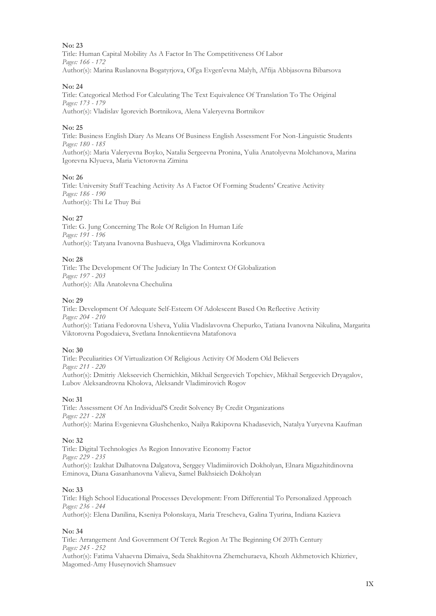Title: Human Capital Mobility As A Factor In The Competitiveness Of Labor *Pages: 166 - 172* Author(s): Marina Ruslanovna Bogatyrjova, Ol'ga Evgen'evna Malyh, Al'fija Abbjasovna Bibarsova

### **No: 24**

Title: Categorical Method For Calculating The Text Equivalence Of Translation To The Original *Pages: 173 - 179* Author(s): Vladislav Igorevich Bortnikova, Alena Valeryevna Bortnikov

### **No: 25**

Title: Business English Diary As Means Of Business English Assessment For Non-Linguistic Students *Pages: 180 - 185*

Author(s): Maria Valeryevna Boyko, Natalia Sergeevna Pronina, Yulia Anatolyevna Molchanova, Marina Igorevna Klyueva, Maria Victorovna Zimina

### **No: 26**

Title: University Staff Teaching Activity As A Factor Of Forming Students' Creative Activity *Pages: 186 - 190* Author(s): Thi Le Thuy Bui

### **No: 27**

Title: G. Jung Concerning The Role Of Religion In Human Life *Pages: 191 - 196* Author(s): Tatyana Ivanovna Bushueva, Olga Vladimirovna Korkunova

### **No: 28**

Title: The Development Of The Judiciary In The Context Of Globalization *Pages: 197 - 203* Author(s): Alla Anatolevna Chechulina

### **No: 29**

Title: Development Of Adequate Self-Esteem Of Adolescent Based On Reflective Activity *Pages: 204 - 210* Author(s): Tatiana Fedorovna Usheva, Yuliia Vladislavovna Chepurko, Tatiana Ivanovna Nikulina, Margarita Viktorovna Pogodaieva, Svetlana Innokentiievna Matafonova

### **No: 30**

Title: Peculiarities Of Virtualization Of Religious Activity Of Modern Old Believers *Pages: 211 - 220* Author(s): Dmitriy Alekseevich Chernichkin, Mikhail Sergeevich Topchiev, Mikhail Sergeevich Dryagalov, Lubov Aleksandrovna Kholova, Aleksandr Vladimirovich Rogov

### **No: 31**

Title: Assessment Of An Individual'S Credit Solvency By Credit Organizations *Pages: 221 - 228* Author(s): Marina Evgenievna Glushchenko, Nailya Rakipovna Khаdasevich, Natalya Yuryevna Kaufman

### **No: 32**

Title: Digital Technologies As Region Innovative Economy Factor *Pages: 229 - 235* Author(s): Izakhat Dalhatovna Dalgatova, Serggey Vladimiirovich Dokholyan, Elnara Migazhitdinovna Eminova, Diana Gasanhanovna Valieva, Samel Bakhsieich Dokholyan

### **No: 33**

Title: High School Educational Processes Development: From Differential To Personalized Approach *Pages: 236 - 244*

Author(s): Elena Danilina, Kseniya Polonskaya, Maria Trescheva, Galina Tyurina, Indiana Kazieva

### **No: 34**

Title: Arrangement And Government Of Terek Region At The Beginning Of 20Th Century *Pages: 245 - 252*

Author(s): Fatima Vahaevna Dimaiva, Seda Shakhitovna Zhemchuraeva, Khozh Akhmetovich Khizriev, Magomed-Amy Huseynovich Shamsuev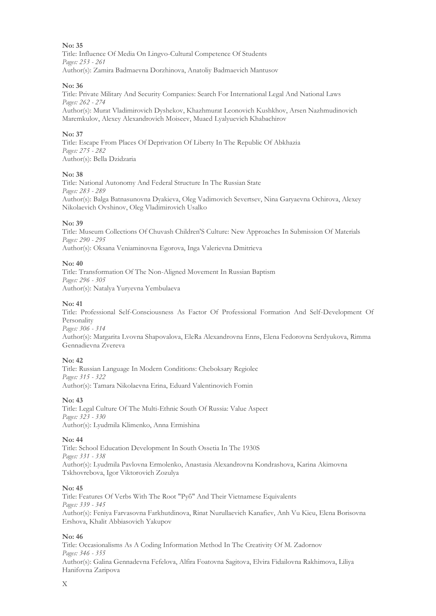Title: Influence Of Media On Lingvo-Cultural Competence Of Students *Pages: 253 - 261* Author(s): Zamira Badmaevna Dorzhinova, Anatoliy Badmaevich Mantusov

### **No: 36**

Title: Private Military And Security Companies: Search For International Legal And National Laws *Pages: 262 - 274* Author(s): Murat Vladimirovich Dyshekov, Khazhmurat Leonovich Kushkhov, Arsen Nazhmudinovich

### **No: 37**

Title: Escape From Places Of Deprivation Of Liberty In The Republic Of Abkhazia *Pages: 275 - 282* Author(s): Bella Dzidzaria

Maremkulov, Alexey Alexandrovich Moiseev, Muaed Lyalyuevich Khabachirov

### **No: 38**

Title: National Autonomy And Federal Structure In The Russian State *Pages: 283 - 289* Author(s): Balga Batnasunovna Dyakieva, Oleg Vadimovich Severtsev, Nina Garyaevna Ochirova, Alexey Nikolaevich Ovshinov, Oleg Vladimirovich Usalko

### **No: 39**

Title: Museum Collections Of Chuvash Children'S Culture: New Approaches In Submission Of Materials *Pages: 290 - 295*

Author(s): Oksana Veniaminovna Egorova, Inga Valerievna Dmitrieva

### **No: 40**

Title: Transformation Of The Non-Aligned Movement In Russian Baptism *Pages: 296 - 305* Author(s): Natalya Yuryevna Yembulaeva

### **No: 41**

Title: Professional Self-Consciousness As Factor Of Professional Formation And Self-Development Of Personality

*Pages: 306 - 314*

Author(s): Margarita Lvovna Shapovalova, EleRa Alexandrovna Enns, Elena Fedorovna Serdyukova, Rimma Gennadievna Zvereva

### **No: 42**

Title: Russian Language In Modern Conditions: Cheboksary Regiolec *Pages: 315 - 322* Author(s): Tamara Nikolaevna Erina, Eduard Valentinovich Fomin

### **No: 43**

Title: Legal Culture Of The Multi-Ethnic South Of Russia: Value Aspect *Pages: 323 - 330* Author(s): Lyudmila Klimenko, Anna Ermishina

### **No: 44**

Title: School Education Development In South Ossetia In The 1930S *Pages: 331 - 338* Author(s): Lyudmila Pavlovna Ermolenko, Anastasia Alexandrovna Kondrashova, Karina Akimovna Tskhovrebova, Igor Viktorovich Zozulya

### **No: 45**

Title: Features Of Verbs With The Root "Руб" And Their Vietnamese Equivalents *Pages: 339 - 345* Author(s): Feniya Farvasovna Farkhutdinova, Rinat Nurullaevich Kanafiev, Anh Vu Kieu, Elena Borisovna Ershova, Khalit Abbiasovich Yakupov

### **No: 46**

Title: Occasionalisms As A Coding Information Method In The Creativity Of M. Zadornov *Pages: 346 - 355* Author(s): Galina Gennadevna Fefelova, Alfira Foatovna Sagitova, Elvira Fidailovna Rakhimova, Liliya Hanifovna Zaripova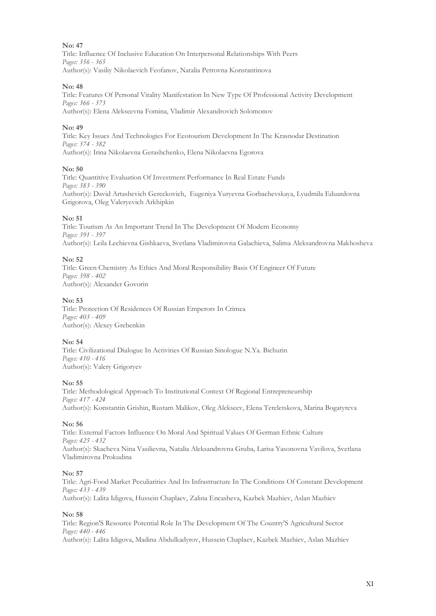Title: Influence Of Inclusive Education On Interpersonal Relationships With Peers *Pages: 356 - 365* Author(s): Vasiliy Nikolaevich Feofanov, Natalia Petrovna Konstantinova

### **No: 48**

Title: Features Of Personal Vitality Manifestation In New Type Of Professional Activity Development *Pages: 366 - 373* Author(s): Elena Alekseevna Fomina, Vladimir Alexandrovich Solomonov

### **No: 49**

Title: Key Issues And Technologies For Ecotourism Development In The Krasnodar Destination *Pages: 374 - 382* Author(s): Irina Nikolaevna Gerashchenko, Elena Nikolaevna Egorova

### **No: 50**

Title: Quantitive Evaluation Of Investment Performance In Real Estate Funds *Pages: 383 - 390* Author(s): David Artashevich Gercekovich, Eugeniya Yuryevna Gorbachevskaya, Lyudmila Eduardovna Grigorova, Oleg Valeryevich Arkhipkin

### **No: 51**

Title: Tourism As An Important Trend In The Development Of Modern Economy *Pages: 391 - 397* Author(s): Leila Lechievna Gishkaeva, Svetlana Vladimirovna Galachieva, Salima Aleksandrovna Makhosheva

### **No: 52**

Title: Green Chemistry As Ethics And Moral Responsibility Basis Of Engineer Of Future *Pages: 398 - 402* Author(s): Alexander Govorin

### **No: 53**

Title: Protection Of Residences Of Russian Emperors In Crimea *Pages: 403 - 409* Author(s): Alexey Grebenkin

### **No: 54**

Title: Civilizational Dialogue In Activities Of Russian Sinologue N.Ya. Bichurin *Pages: 410 - 416* Author(s): Valery Grigoryev

### **No: 55**

Title: Methodological Approach To Institutional Context Of Regional Entrepreneurship *Pages: 417 - 424* Author(s): Konstantin Grishin, Rustam Malikov, Oleg Alekseev, Elena Tereletskova, Marina Bogatyreva

### **No: 56**

Title: External Factors Influence On Moral And Spiritual Values Of German Ethnic Culture *Pages: 425 - 432* Author(s): Skacheva Nina Vasilievna, Natalia Aleksandrovna Gruba, Larisa Yasonovna Vavilova, Svetlana Vladimirovna Prokudina

### **No: 57**

Title: Agri-Food Market Peculiarities And Its Infrastructure In The Conditions Of Constant Development *Pages: 433 - 439* Author(s): Lalita Idigova, Hussein Chaplaev, Zalina Encasheva, Kazbek Mazhiev, Aslan Mazhiev

### **No: 58**

Title: Region'S Resource Potential Role In The Development Of The Country'S Agricultural Sector *Pages: 440 - 446* Author(s): Lalita Idigova, Madina Abdulkadyrov, Hussein Chaplaev, Kazbek Mazhiev, Aslan Mazhiev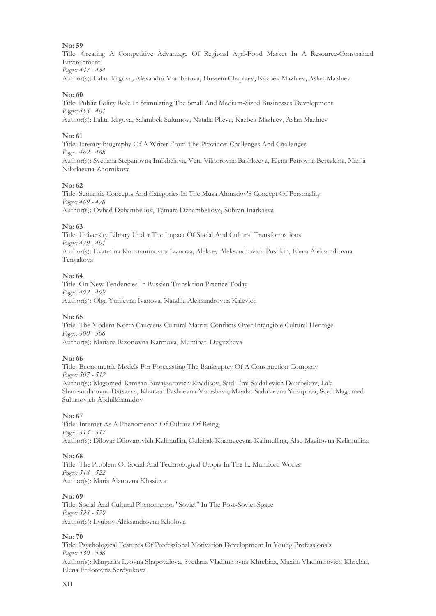Title: Creating A Competitive Advantage Of Regional Agri-Food Market In A Resource-Constrained Environment

*Pages: 447 - 454*

Author(s): Lalita Idigova, Alexandra Mambetova, Hussein Chaplaev, Kazbek Mazhiev, Aslan Mazhiev

### **No: 60**

Title: Public Policy Role In Stimulating The Small And Medium-Sized Businesses Development *Pages: 455 - 461* Author(s): Lalita Idigova, Salambek Sulumov, Natalia Plieva, Kazbek Mazhiev, Aslan Mazhiev

### **No: 61**

Title: Literary Biography Of A Writer From The Province: Challenges And Challenges *Pages: 462 - 468* Author(s): Svetlana Stepanovna Imikhelova, Vera Viktorovna Bashkeeva, Elena Petrovna Berezkina, Marija Nikolaevna Zhornikova

### **No: 62**

Title: Semantic Concepts And Categories In The Musa Ahmadov'S Concept Of Personality *Pages: 469 - 478* Author(s): Ovhad Dzhambekov, Tamara Dzhambekova, Subran Inarkaeva

### **No: 63**

Title: University Library Under The Impact Of Social And Cultural Transformations *Pages: 479 - 491* Author(s): Ekaterina Konstantinovna Ivanova, Aleksey Aleksandrovich Pushkin, Elena Aleksandrovna Tenyakova

### **No: 64**

Title: On New Tendencies In Russian Translation Practice Today *Pages: 492 - 499* Author(s): Olga Yuriievna Ivanova, Nataliia Aleksandrovna Kalevich

### **No: 65**

Title: The Modern North Caucasus Cultural Matrix: Conflicts Over Intangible Cultural Heritage *Pages: 500 - 506* Author(s): Mariana Rizonovna Karmova, Muminat. Duguzheva

### **No: 66**

Title: Econometric Models For Forecasting The Bankruptcy Of A Construction Company *Pages: 507 - 512* Author(s): Magomed-Ramzan Buvaysarovich Khadisov, Said-Emi Saidalievich Daurbekov, Lala Shamsutdinovna Datsaeva, Kharzan Pashaevna Matasheva, Maydat Sadulaevna Yusupova, Sayd-Magomed Sultanovich Abdulkhamidov

### **No: 67**

Title: Internet As A Phenomenon Of Culture Of Being *Pages: 513 - 517* Author(s): Dilovar Dilovarovich Kalimullin, Gulzirak Khamzeevna Kalimullina, Alsu Mazitovna Kalimullina

### **No: 68**

Title: The Problem Of Social And Technological Utopia In The L. Mumford Works *Pages: 518 - 522* Author(s): Maria Alanovna Khasieva

### **No: 69**

Title: Social And Cultural Phenomenon "Soviet" In The Post-Soviet Space *Pages: 523 - 529* Author(s): Lyubov Aleksandrovna Kholova

### **No: 70**

Title: Psychological Features Of Professional Motivation Development In Young Professionals *Pages: 530 - 536* Author(s): Margarita Lvovna Shapovalova, Svetlana Vladimirovna Khrebina, Maxim Vladimirovich Khrebin, Elena Fedorovna Serdyukova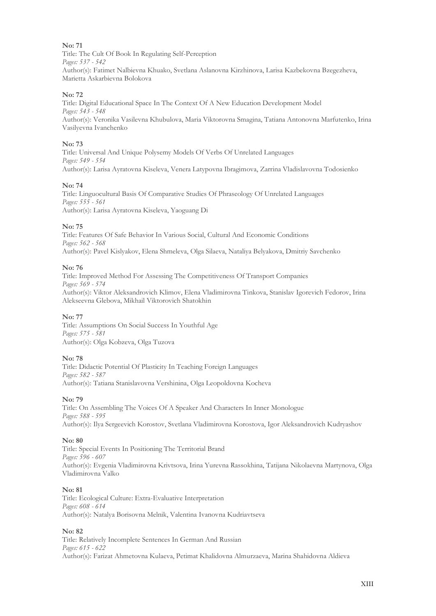Title: The Cult Of Book In Regulating Self-Perception *Pages: 537 - 542* Author(s): Fatimet Nalbievna Khuako, Svetlana Aslanovna Kirzhinova, Larisa Kazbekovna Bzegezheva, Marietta Askarbievna Bolokova

### **No: 72**

Title: Digital Educational Space In The Context Of A New Education Development Model *Pages: 543 - 548* Author(s): Veronika Vasilevna Khubulova, Maria Viktorovna Smagina, Tatiana Antonovna Marfutenko, Irina Vasilyevna Ivanchenko

### **No: 73**

Title: Universal And Unique Polysemy Models Of Verbs Of Unrelated Languages *Pages: 549 - 554* Author(s): Larisa Ayratovna Kiseleva, Venera Latypovna Ibragimova, Zarrina Vladislavovna Todosienko

### **No: 74**

Title: Linguocultural Basis Of Comparative Studies Of Phraseology Of Unrelated Languages *Pages: 555 - 561* Author(s): Larisa Ayratovna Kiseleva, Yaoguang Di

### **No: 75**

Title: Features Of Safe Behavior In Various Social, Cultural And Economic Conditions *Pages: 562 - 568* Author(s): Pavel Kislyakov, Elena Shmeleva, Olga Silaeva, Nataliya Belyakova, Dmitriy Savchenko

### **No: 76**

Title: Improved Method For Assessing The Competitiveness Of Transport Companies *Pages: 569 - 574* Author(s): Viktor Aleksandrovich Klimov, Elena Vladimirovna Tinkova, Stanislav Igorevich Fedorov, Irina Alekseevna Glebova, Mikhail Viktorovich Shatokhin

### **No: 77**

Title: Assumptions On Social Success In Youthful Age *Pages: 575 - 581* Author(s): Olga Kobzeva, Olga Tuzova

### **No: 78**

Title: Didactic Potential Of Plasticity In Teaching Foreign Languages *Pages: 582 - 587* Author(s): Tatiana Stanislavovna Vershinina, Olga Leopoldovna Kocheva

### **No: 79**

Title: On Assembling The Voices Of A Speaker And Characters In Inner Monologue *Pages: 588 - 595* Author(s): Ilya Sergeevich Korostov, Svetlana Vladimirovna Korostova, Igor Aleksandrovich Kudryashov

### **No: 80**

Title: Special Events In Positioning The Territorial Brand *Pages: 596 - 607* Author(s): Evgenia Vladimirovna Krivtsova, Irina Yurevna Rassokhina, Tatijana Nikolaevna Martynova, Olga Vladimirovna Valko

### **No: 81**

Title: Ecological Culture: Extra-Evaluative Interpretation *Pages: 608 - 614* Author(s): Natalya Borisovna Melnik, Valentina Ivanovna Kudriavtseva

### **No: 82**

Title: Relatively Incomplete Sentences In German And Russian *Pages: 615 - 622* Author(s): Farizat Ahmetovna Kulaeva, Petimat Khalidovna Almurzaeva, Marina Shahidovna Aldieva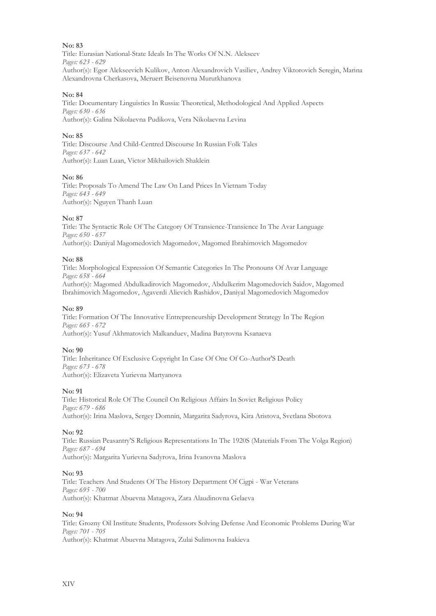Title: Eurasian National-State Ideals In The Works Of N.N. Alekseev *Pages: 623 - 629* Author(s): Egor Alekseevich Kulikov, Anton Alexandrovich Vasiliev, Andrey Viktorovich Seregin, Marina Alexandrovna Cherkasova, Meruert Beisenovna Murutkhanova

### **No: 84**

Title: Documentary Linguistics In Russia: Theoretical, Methodological And Applied Aspects *Pages: 630 - 636* Author(s): Galina Nikolaevna Pudikova, Vera Nikolaevna Levina

### **No: 85**

Title: Discourse And Child-Centred Discourse In Russian Folk Tales *Pages: 637 - 642* Author(s): Luan Luan, Victor Mikhailovich Shaklein

### **No: 86**

Title: Proposals To Amend The Law On Land Prices In Vietnam Today *Pages: 643 - 649* Author(s): Nguyen Thanh Luan

### **No: 87**

Title: The Syntactic Role Of The Category Of Transience-Transience In The Avar Language *Pages: 650 - 657* Author(s): Daniyal Magomedovich Magomedov, Magomed Ibrahimovich Magomedov

### **No: 88**

Title: Morphological Expression Of Semantic Categories In The Pronouns Of Avar Language *Pages: 658 - 664* Author(s): Magomed Abdulkadirovich Magomedov, Abdulkerim Magomedovich Saidov, Magomed Ibrahimovich Magomedov, Agaverdi Alievich Rashidov, Daniyal Magomedovich Magomedov

### **No: 89**

Title: Formation Of The Innovative Entrepreneurship Development Strategy In The Region *Pages: 665 - 672* Author(s): Yusuf Akhmatovich Malkanduev, Madina Batyrovna Ksanaeva

### **No: 90**

Title: Inheritance Of Exclusive Copyright In Case Of One Of Co-Author'S Death *Pages: 673 - 678* Author(s): Elizaveta Yurievna Martyanova

### **No: 91**

Title: Historical Role Of The Council On Religious Affairs In Soviet Religious Policy *Pages: 679 - 686* Author(s): Irina Maslova, Sergey Domnin, Margarita Sadyrova, Kira Aristova, Svetlana Sbotova

### **No: 92**

Title: Russian Peasantry'S Religious Representations In The 1920S (Materials From The Volga Region) *Pages: 687 - 694* Author(s): Margarita Yurievna Sadyrova, Irina Ivanovna Maslova

### **No: 93**

Title: Teachers And Students Of The History Department Of Cigpi - War Veterans *Pages: 695 - 700* Author(s): Khatmat Abuevna Matagova, Zara Alaudinovna Gelaeva

### **No: 94**

Title: Grozny Oil Institute Students, Professors Solving Defense And Economic Problems During War *Pages: 701 - 705* Author(s): Khatmat Abuevna Matagova, Zulai Sulimovna Isakieva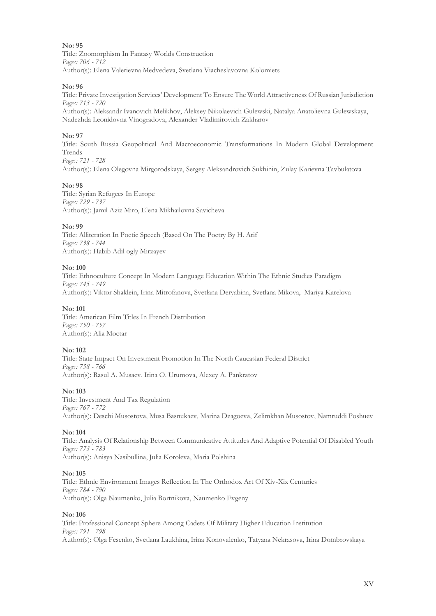Title: Zoomorphism In Fantasy Worlds Construction *Pages: 706 - 712* Author(s): Elena Valerievna Medvedeva, Svetlana Viacheslavovna Kolomiets

### **No: 96**

Title: Private Investigation Services' Development To Ensure The World Attractiveness Of Russian Jurisdiction *Pages: 713 - 720*

Author(s): Aleksandr Ivanovich Melikhov, Aleksey Nikolaevich Gulewski, Natalya Anatolievna Gulewskaya, Nadezhda Leonidovna Vinogradova, Alexander Vladimirovich Zakharov

### **No: 97**

Title: South Russia Geopolitical And Macroeconomic Transformations In Modern Global Development Trends *Pages: 721 - 728*

Author(s): Elena Olegovna Mirgorodskaya, Sergey Aleksandrovich Sukhinin, Zulay Karievna Tavbulatova

### **No: 98**

Title: Syrian Refugees In Europe *Pages: 729 - 737* Author(s): Jamil Aziz Miro, Elena Mikhailovna Savicheva

### **No: 99**

Title: Alliteration In Poetic Speech (Based On The Poetry By H. Arif *Pages: 738 - 744* Author(s): Habib Adil ogly Mirzayev

### **No: 100**

Title: Ethnoculture Concept In Modern Language Education Within The Ethnic Studies Paradigm *Pages: 745 - 749* Author(s): Viktor Shaklein, Irina Mitrofanova, Svetlana Deryabina, Svetlana Mikova, Mariya Karelova

### **No: 101**

Title: American Film Titles In French Distribution *Pages: 750 - 757* Author(s): Alia Moctar

### **No: 102**

Title: State Impact On Investment Promotion In The North Caucasian Federal District *Pages: 758 - 766* Author(s): Rasul A. Musaev, Irina O. Urumova, Alexey A. Pankratov

### **No: 103**

Title: Investment And Tax Regulation *Pages: 767 - 772* Author(s): Deschi Musostova, Musa Basnukaev, Marina Dzagoeva, Zelimkhan Musostov, Namruddi Poshuev

### **No: 104**

Title: Analysis Of Relationship Between Communicative Attitudes And Adaptive Potential Of Disabled Youth *Pages: 773 - 783* Author(s): Anisya Nasibullina, Julia Koroleva, Maria Polshina

### **No: 105**

Title: Ethnic Environment Images Reflection In The Orthodox Art Of Xiv-Xix Centuries *Pages: 784 - 790* Author(s): Olga Naumenko, Julia Bortnikova, Naumenko Evgeny

### **No: 106**

Title: Professional Concept Sphere Among Cadets Of Military Higher Education Institution *Pages: 791 - 798* Author(s): Olga Fesenko, Svetlana Laukhina, Irina Konovalenko, Tatyana Nekrasova, Irina Dombrovskaya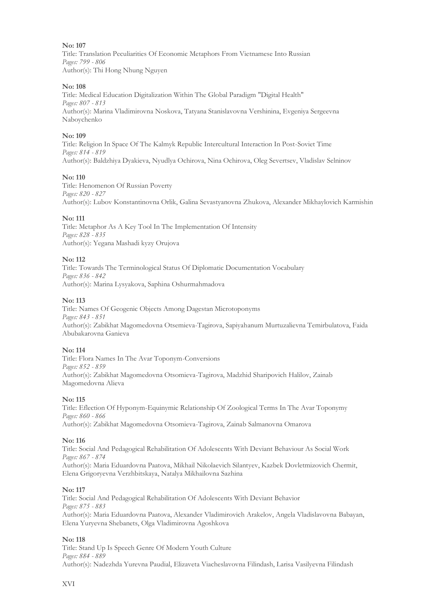Title: Translation Peculiarities Of Economic Metaphors From Vietnamese Into Russian *Pages: 799 - 806* Author(s): Thi Hong Nhung Nguyen

### **No: 108**

Title: Medical Education Digitalization Within The Global Paradigm "Digital Health" *Pages: 807 - 813* Author(s): Marina Vladimirovna Noskova, Tatyana Stanislavovna Vershinina, Evgeniya Sergeevna Naboychenko

### **No: 109**

Title: Religion In Space Of The Kalmyk Republic Intercultural Interaction In Post-Soviet Time *Pages: 814 - 819* Author(s): Baldzhiya Dyakieva, Nyudlya Ochirova, Nina Ochirova, Oleg Severtsev, Vladislav Selninov

### **No: 110**

Title: Henomenon Of Russian Poverty *Pages: 820 - 827* Author(s): Lubov Konstantinovna Orlik, Galina Sevastyanovna Zhukova, Alexander Mikhaylovich Karmishin

### **No: 111**

Title: Metaphor As A Key Tool In The Implementation Of Intensity *Pages: 828 - 835* Author(s): Yegana Mashadi kyzy Orujova

### **No: 112**

Title: Towards The Terminological Status Of Diplomatic Documentation Vocabulary *Pages: 836 - 842* Author(s): Marina Lysyakova, Saphina Oshurmahmadova

### **No: 113**

Title: Names Of Geogenic Objects Among Dagestan Microtoponyms *Pages: 843 - 851* Author(s): Zabikhat Magomedovna Otsemieva-Tagirova, Sapiyahanum Murtuzalievna Temirbulatova, Faida Abubakarovna Ganieva

### **No: 114**

Title: Flora Names In The Avar Toponym-Conversions *Pages: 852 - 859* Author(s): Zabikhat Magomedovna Otsomieva-Tagirova, Madzhid Sharipovich Halilov, Zainab Magomedovna Alieva

### **No: 115**

Title: Eflection Of Hyponym-Equinymic Relationship Of Zoological Terms In The Avar Toponymy *Pages: 860 - 866* Author(s): Zabikhat Magomedovna Otsomieva-Tagirova, Zainab Salmanovna Omarova

### **No: 116**

Title: Social And Pedagogical Rehabilitation Of Adolescents With Deviant Behaviour As Social Work *Pages: 867 - 874* Author(s): Maria Eduardovna Paatova, Mikhail Nikolaevich Silantyev, Kazbek Dovletmizovich Chermit, Elena Grigoryevna Verzhbitskaya, Natalya Mikhailovna Sazhina

### **No: 117**

Title: Social And Pedagogical Rehabilitation Of Adolescents With Deviant Behavior *Pages: 875 - 883* Author(s): Maria Eduardovna Paatova, Alexander Vladimirovich Arakelov, Angela Vladislavovna Babayan, Elena Yuryevna Shebanets, Olga Vladimirovna Agoshkova

### **No: 118**

Title: Stand Up Is Speech Genre Of Modern Youth Culture *Pages: 884 - 889* Author(s): Nadezhda Yurevna Paudial, Elizaveta Viacheslavovna Filindash, Larisa Vasilyevna Filindash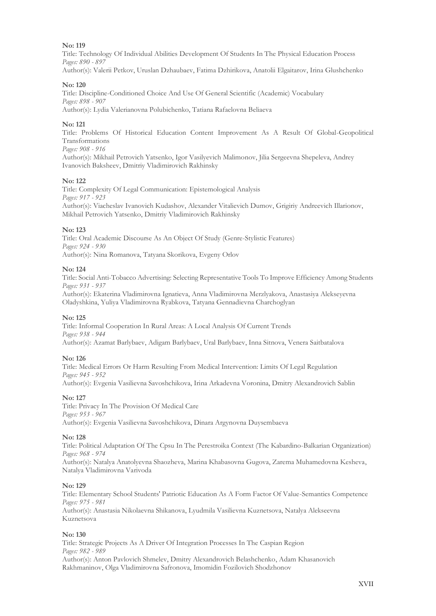Title: Technology Of Individual Abilities Development Of Students In The Physical Education Process *Pages: 890 - 897*

Author(s): Valerii Petkov, Uruslan Dzhaubaev, Fatima Dzhirikova, Anatolii Elgaitarov, Irina Glushchenko

### **No: 120**

Title: Discipline-Conditioned Choice And Use Of General Scientific (Academic) Vocabulary *Pages: 898 - 907* Author(s): Lydia Valerianovna Polubichenko, Tatiana Rafaelovna Beliaeva

### **No: 121**

Title: Problems Of Historical Education Content Improvement As A Result Of Global-Geopolitical Transformations

### *Pages: 908 - 916*

Author(s): Mikhail Petrovich Yatsenko, Igor Vasilyevich Malimonov, Jilia Sergeevna Shepeleva, Andrey Ivanovich Baksheev, Dmitriy Vladimirovich Rakhinsky

### **No: 122**

Title: Complexity Of Legal Communication: Epistemological Analysis *Pages: 917 - 923* Author(s): Viacheslav Ivanovich Kudashov, Alexander Vitalievich Dumov, Grigiriy Andreevich Illarionov, Mikhail Petrovich Yatsenko, Dmitriy Vladimirovich Rakhinsky

### **No: 123**

Title: Oral Academic Discourse As An Object Of Study (Genre-Stylistic Features) *Pages: 924 - 930* Author(s): Nina Romanova, Tatyana Skorikova, Evgeny Orlov

### **No: 124**

Title: Social Anti-Tobacco Advertising: Selecting Representative Tools To Improve Efficiency Among Students *Pages: 931 - 937*

Author(s): Ekaterina Vladimirovna Ignatieva, Anna Vladimirovna Merzlyakova, Anastasiya Alekseyevna Oladyshkina, Yuliya Vladimirovna Ryabkova, Tatyana Gennadievna Charchoglyan

### **No: 125**

Title: Informal Cooperation In Rural Areas: A Local Analysis Of Current Trends *Pages: 938 - 944* Author(s): Azamat Barlybaev, Adigam Barlybaev, Ural Barlybaev, Inna Sitnova, Venera Saitbatalova

### **No: 126**

Title: Medical Errors Or Harm Resulting From Medical Intervention: Limits Of Legal Regulation *Pages: 945 - 952* Author(s): Evgenia Vasilievna Savoshchikova, Irina Arkadevna Voronina, Dmitry Alexandrovich Sablin

### **No: 127**

Title: Privacy In The Provision Of Medical Care *Pages: 953 - 967* Author(s): Evgenia Vasilievna Savoshchikova, Dinara Argynovna Duysembaeva

### **No: 128**

Title: Political Adaptation Of The Cpsu In The Perestroika Context (The Kabardino-Balkarian Organization) *Pages: 968 - 974*

Author(s): Natalya Anatolyevna Shaozheva, Marina Khabasovna Gugova, Zarema Muhamedovna Kesheva, Natalya Vladimirovna Varivoda

### **No: 129**

Title: Elementary School Students' Patriotic Education As A Form Factor Of Value-Semantics Competence *Pages: 975 - 981* Author(s): Anastasia Nikolaevna Shikanova, Lyudmila Vasilievna Kuznetsova, Natalya Alekseevna

Kuznetsova

### **No: 130**

Title: Strategic Projects As A Driver Of Integration Processes In The Caspian Region *Pages: 982 - 989* Author(s): Anton Pavlovich Shmelev, Dmitry Alexandrovich Belashchenko, Adam Khasanovich Rakhmaninov, Olga Vladimirovna Safronova, Imomidin Fozilovich Shodzhonov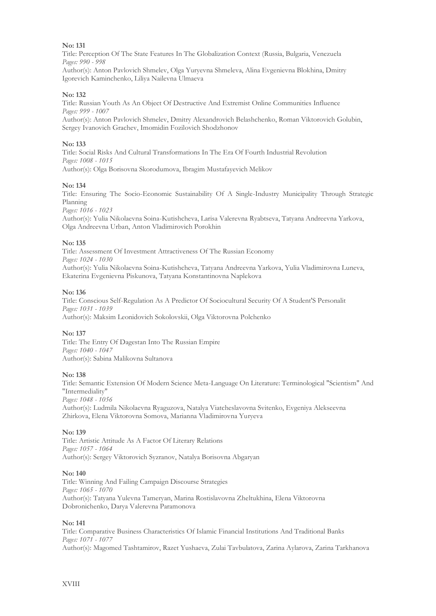Title: Perception Of The State Features In The Globalization Context (Russia, Bulgaria, Venezuela *Pages: 990 - 998*

Author(s): Anton Pavlovich Shmelev, Olga Yuryevna Shmeleva, Alina Evgenievna Blokhina, Dmitry Igorevich Kaminchenko, Liliya Nailevna Ulmaeva

### **No: 132**

Title: Russian Youth As An Object Of Destructive And Extremist Online Communities Influence *Pages: 999 - 1007*

Author(s): Anton Pavlovich Shmelev, Dmitry Alexandrovich Belashchenko, Roman Viktorovich Golubin, Sergey Ivanovich Grachev, Imomidin Fozilovich Shodzhonov

### **No: 133**

Title: Social Risks And Cultural Transformations In The Era Of Fourth Industrial Revolution *Pages: 1008 - 1015* Author(s): Olga Borisovna Skorodumova, Ibragim Mustafayevich Melikov

### **No: 134**

Title: Ensuring The Socio-Economic Sustainability Of A Single-Industry Municipality Through Strategic Planning

*Pages: 1016 - 1023*

Author(s): Yulia Nikolaevna Soina-Kutishcheva, Larisa Valerevna Ryabtseva, Tatyana Andreevna Yarkova, Olga Andreevna Urban, Anton Vladimirovich Porokhin

### **No: 135**

Title: Assessment Of Investment Attractiveness Of The Russian Economy *Pages: 1024 - 1030* Author(s): Yulia Nikolaevna Soina-Kutishcheva, Tatyana Andreevna Yarkova, Yulia Vladimirovna Luneva, Ekaterina Evgenievna Piskunova, Tatyana Konstantinovna Naplekova

### **No: 136**

Title: Conscious Self-Regulation As A Predictor Of Sociocultural Security Of A Student'S Personalit *Pages: 1031 - 1039* Author(s): Maksim Leonidovich Sokolovskii, Olga Viktorovna Polchenko

### **No: 137**

Title: The Entry Of Dagestan Into The Russian Empire *Pages: 1040 - 1047* Author(s): Sabina Malikovna Sultanova

### **No: 138**

Title: Semantic Extension Of Modern Science Meta-Language On Literature: Terminological "Scientism" And "Intermediality" *Pages: 1048 - 1056*

Author(s): Ludmila Nikolaevna Ryaguzova, Natalya Viatcheslavovna Svitenko, Evgeniya Alekseevna Zhirkova, Elena Viktorovna Somova, Marianna Vladimirovna Yuryeva

### **No: 139**

Title: Artistic Attitude As A Factor Of Literary Relations *Pages: 1057 - 1064* Author(s): Sergey Viktorovich Syzranov, Natalya Borisovna Abgaryan

### **No: 140**

Title: Winning And Failing Campaign Discourse Strategies *Pages: 1065 - 1070* Author(s): Tatyana Yulevna Tameryan, Marina Rostislavovna Zheltukhina, Elena Viktorovna Dobronichenko, Darya Valerevna Paramonova

### **No: 141**

Title: Comparative Business Characteristics Of Islamic Financial Institutions And Traditional Banks *Pages: 1071 - 1077* Author(s): Magomed Tashtamirov, Razet Yushaeva, Zulai Tavbulatova, Zarina Aylarova, Zarina Tarkhanova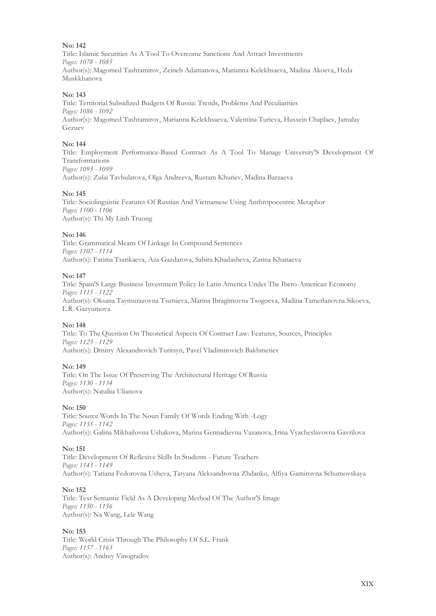Title: Islamic Securities As A Tool To Overcome Sanctions And Attract Investments *Pages: 1078 - 1085* Author(s): Magomed Tashtamirov, Zeineb Adamanova, Marianna Kelekhsaeva, Madina Akoeva, Heda Muskkhanova

### **No: 143**

Title: Territorial Subsidized Budgets Of Russia: Trends, Problems And Peculiarities *Pages: 1086 - 1092* Author(s): Magomed Tashtamirov, Marianna Kelekhsaeva, Valentina Turieva, Hussein Chaplaev, Jamalay Gezuev

### **No: 144**

Title: Employment Performance-Based Contract As A Tool To Manage University'S Development Of Transformations *Pages: 1093 - 1099* Author(s): Zulai Tavbulatova, Olga Andreeva, Rustam Khuriev, Madina Barzaeva

### **No: 145**

Title: Sociolinguistic Features Of Russian And Vietnamese Using Anthropocentric Metaphor *Pages: 1100 - 1106* Author(s): Thi My Linh Truong

### **No: 146**

Title: Grammatical Means Of Linkage In Compound Sentences *Pages: 1107 - 1114* Author(s): Fatima Tsarikaeva, Aza Gazdarova, Sabira Khadasheva, Zarina Khanaeva

### **No: 147**

Title: Spain'S Large Business Investment Policy In Latin America Under The Ibero-American Economy *Pages: 1115 - 1122* Author(s): Oksana Taymurazovna Tsutsieva, Marina Ibragimovna Tsogoeva, Madina Tamerlanovna Sikoeva, L.R. Gazyumova

### **No: 148**

Title: To The Question On Theoretical Aspects Of Contract Law: Features, Sources, Principles *Pages: 1123 - 1129* Author(s): Dmitry Alexandrovich Turitsyn, Pavel Vladimirovich Bakhmetiev

### **No: 149**

Title: On The Issue Of Preserving The Architectural Heritage Of Russia *Pages: 1130 - 1134* Author(s): Nataliia Ulianova

### **No: 150**

Title: Source Words In The Noun Family Of Words Ending With -Logy *Pages: 1135 - 1142* Author(s): Galina Mikhailovna Ushakova, Marina Gennadievna Vazanova, Irina Vyacheslavovna Gavrilova

### **No: 151**

Title: Development Of Reflexive Skills In Students - Future Teachers *Pages: 1143 - 1149* Author(s): Tatiana Fedorovna Usheva, Tatyana Aleksandrovna Zhdanko, Alfiya Gamirovna Schumovskaya

### **No: 152**

Title: Text Semantic Field As A Developing Method Of The Author'S Image *Pages: 1150 - 1156* Author(s): Na Wang, Lele Wang

### **No: 153**

Title: World Crisis Through The Philosophy Of S.L. Frank *Pages: 1157 - 1163* Author(s): Andrey Vinogradov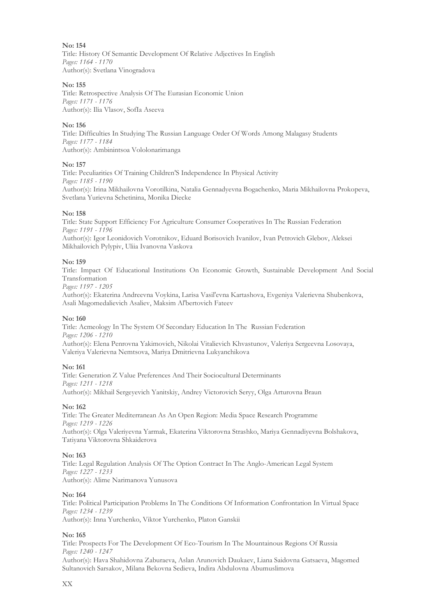Title: History Of Semantic Development Of Relative Adjectives In English *Pages: 1164 - 1170* Author(s): Svetlana Vinogradova

### **No: 155**

Title: Retrospective Analysis Of The Eurasian Economic Union *Pages: 1171 - 1176* Author(s): Ilia Vlasov, SofIa Aseeva

### **No: 156**

Title: Difficulties In Studying The Russian Language Order Of Words Among Malagasy Students *Pages: 1177 - 1184* Author(s): Ambinintsoa Vololonarimanga

### **No: 157**

Title: Peculiarities Of Training Children'S Independence In Physical Activity *Pages: 1185 - 1190* Author(s): Irina Mikhailovna Vorotilkina, Natalia Gennadyevna Bogachenko, Maria Mikhailovna Prokopeva, Svetlana Yurievna Schetinina, Monika Diecke

### **No: 158**

Title: State Support Efficiency For Agriculture Consumer Cooperatives In The Russian Federation *Pages: 1191 - 1196* Author(s): Igor Leonidovich Vorotnikov, Eduard Borisovich Ivanilov, Ivan Petrovich Glebov, Aleksei Mikhailovich Pylypiv, Uliia Ivanovna Vaskova

### **No: 159**

Title: Impact Of Educational Institutions On Economic Growth, Sustainable Development And Social Transformation

*Pages: 1197 - 1205*

Author(s): Ekaterina Andreevna Voykina, Larisa Vasil'evna Kartashova, Evgeniya Valerievna Shubenkova, Asali Magomedalievich Asaliev, Maksim Al'bertovich Fateev

### **No: 160**

Title: Acmeology In The System Of Secondary Education In The Russian Federation *Pages: 1206 - 1210* Author(s): Elena Penrovna Yakimovich, Nikolai Vitalievich Khvastunov, Valeriya Sergeevna Losovaya, Valeriya Valerievna Nemtsova, Mariya Dmitrievna Lukyanchikova

### **No: 161**

Title: Generation Z Value Preferences And Their Sociocultural Determinants *Pages: 1211 - 1218* Author(s): Mikhail Sergeyevich Yanitskiy, Andrey Victorovich Seryy, Olga Arturovna Braun

### **No: 162**

Title: The Greater Mediterranean As An Open Region: Media Space Research Programme *Pages: 1219 - 1226* Author(s): Olga Valeriyevna Yarmak, Ekaterina Viktorovna Strashko, Mariya Gennadiyevna Bolshakova, Tatiyana Viktorovna Shkaiderova

### **No: 163**

Title: Legal Regulation Analysis Of The Option Contract In The Anglo-American Legal System *Pages: 1227 - 1233* Author(s): Alime Narimanova Yunusova

### **No: 164**

Title: Political Participation Problems In The Conditions Of Information Confrontation In Virtual Space *Pages: 1234 - 1239* Author(s): Inna Yurchenko, Viktor Yurchenko, Platon Ganskii

### **No: 165**

Title: Prospects For The Development Of Eco-Tourism In The Mountainous Regions Of Russia *Pages: 1240 - 1247*

Author(s): Hava Shahidovna Zaburaeva, Aslan Arunovich Daukaev, Liana Saidovna Gatsaeva, Magomed Sultanovich Sarsakov, Milana Bekovna Sedieva, Indira Abdulovna Abumuslimova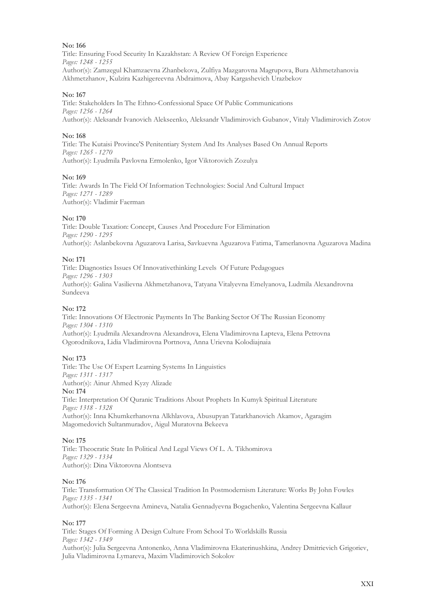Title: Ensuring Food Security In Kazakhstan: A Review Of Foreign Experience *Pages: 1248 - 1255* Author(s): Zamzegul Khamzaevna Zhanbekova, Zulfiya Mazgarovna Magrupova, Bura Akhmetzhanovia Akhmetzhanov, Kulzira Kazhigereevna Abdraimova, Abay Kargashevich Urazbekov

### **No: 167**

Title: Stakeholders In The Ethno-Confessional Space Of Public Communications *Pages: 1256 - 1264* Author(s): Aleksandr Ivanovich Alekseenko, Aleksandr Vladimirovich Gubanov, Vitaly Vladimirovich Zotov

### **No: 168**

Title: The Kutaisi Province'S Penitentiary System And Its Analyses Based On Annual Reports *Pages: 1265 - 1270* Author(s): Lyudmila Pavlovna Ermolenko, Igor Viktorovich Zozulya

### **No: 169**

Title: Awards In The Field Of Information Technologies: Social And Cultural Impact *Pages: 1271 - 1289* Author(s): Vladimir Faerman

### **No: 170**

Title: Double Taxation: Concept, Causes And Procedure For Elimination *Pages: 1290 - 1295* Author(s): Aslanbekovna Aguzarova Larisa, Savkuevna Aguzarova Fatima, Tamerlanovna Aguzarova Madina

### **No: 171**

Title: Diagnostics Issues Of Innovativethinking Levels Of Future Pedagogues *Pages: 1296 - 1303* Author(s): Galina Vasilievna Akhmetzhanova, Tatyana Vitalyevna Emelyanova, Ludmila Alexandrovna Sundeeva

### **No: 172**

Title: Innovations Of Electronic Payments In The Banking Sector Of The Russian Economy *Pages: 1304 - 1310* Author(s): Lyudmila Alexandrovna Alexandrova, Elena Vladimirovna Lapteva, Elena Petrovna Ogorodnikova, Lidia Vladimirovna Portnova, Anna Urievna Kolodiajnaia

### **No: 173**

Title: The Use Of Expert Learning Systems In Linguistics *Pages: 1311 - 1317* Author(s): Ainur Ahmed Kyzy Alizade **No: 174** Title: Interpretation Of Quranic Traditions About Prophets In Kumyk Spiritual Literature *Pages: 1318 - 1328* Author(s): Inna Khumkerhanovna Alkhlavova, Abusupyan Tatarkhanovich Akamov, Agaragim Magomedovich Sultanmuradov, Aigul Muratovna Bekeeva

### **No: 175**

Title: Theocratic State In Political And Legal Views Of L. A. Tikhomirova *Pages: 1329 - 1334* Author(s): Dina Viktorovna Alontseva

### **No: 176**

Title: Transformation Of The Classical Tradition In Postmodernism Literature: Works By John Fowles *Pages: 1335 - 1341*

Author(s): Elena Sergeevna Amineva, Natalia Gennadyevna Bogachenko, Valentina Sergeevna Kallaur

### **No: 177**

Title: Stages Of Forming A Design Culture From School To Worldskills Russia *Pages: 1342 - 1349* Author(s): Julia Sergeevna Antonenko, Аnna Vladimirovna Ekaterinushkina, Аndrey Dmitrievich Grigoriev, Julia Vladimirovna Lymareva, Maxim Vladimirovich Sokolov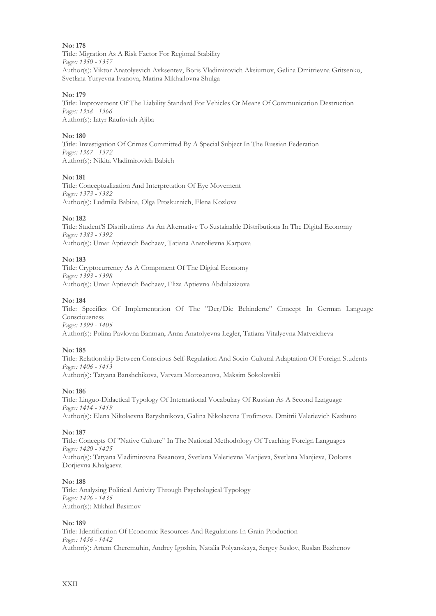Title: Migration As A Risk Factor For Regional Stability *Pages: 1350 - 1357* Author(s): Viktor Anatolyevich Avksentev, Boris Vladimirovich Aksiumov, Galina Dmitrievna Gritsenko, Svetlana Yuryevna Ivanova, Marina Mikhailovna Shulga

### **No: 179**

Title: Improvement Of The Liability Standard For Vehicles Or Means Of Communication Destruction *Pages: 1358 - 1366* Author(s): Iatyr Raufovich Ajiba

### **No: 180**

Title: Investigation Of Crimes Committed By A Special Subject In The Russian Federation *Pages: 1367 - 1372* Author(s): Nikita Vladimirovich Babich

### **No: 181**

Title: Conceptualization And Interpretation Of Eye Movement *Pages: 1373 - 1382* Author(s): Ludmila Babina, Olga Proskurnich, Elena Kozlova

### **No: 182**

Title: Student'S Distributions As An Alternative To Sustainable Distributions In The Digital Economy *Pages: 1383 - 1392* Author(s): Umar Aptievich Bachaev, Tatiana Anatolievna Karpova

### **No: 183**

Title: Cryptocurrency As A Component Of The Digital Economy *Pages: 1393 - 1398* Author(s): Umar Aptievich Bachaev, Eliza Aptievna Abdulazizova

### **No: 184**

Title: Specifics Of Implementation Of The "Der/Die Behinderte" Concept In German Language Consciousness *Pages: 1399 - 1405*

Author(s): Polina Pavlovna Banman, Anna Anatolyevna Legler, Tatiana Vitalyevna Matveicheva

### **No: 185**

Title: Relationship Between Conscious Self-Regulation And Socio-Cultural Adaptation Of Foreign Students *Pages: 1406 - 1413* Author(s): Tatyana Banshchikova, Varvara Morosanova, Maksim Sokolovskii

### **No: 186**

Title: Linguo-Didactical Typology Of International Vocabulary Of Russian As A Second Language *Pages: 1414 - 1419* Author(s): Elena Nikolaevna Baryshnikova, Galina Nikolaevna Trofimova, Dmitrii Valerievich Kazhuro

### **No: 187**

Title: Concepts Of "Native Culture" In The National Methodology Of Teaching Foreign Languages *Pages: 1420 - 1425* Author(s): Tatyana Vladimirovna Basanova, Svetlana Valerievna Manjieva, Svetlana Manjieva, Dolores Dorjievna Khalgaeva

### **No: 188**

Title: Analysing Political Activity Through Psychological Typology *Pages: 1426 - 1435* Author(s): Mikhail Basimov

### **No: 189**

Title: Identification Of Economic Resources And Regulations In Grain Production *Pages: 1436 - 1442* Author(s): Artem Cheremuhin, Andrey Igoshin, Natalia Polyanskaya, Sergey Suslov, Ruslan Bazhenov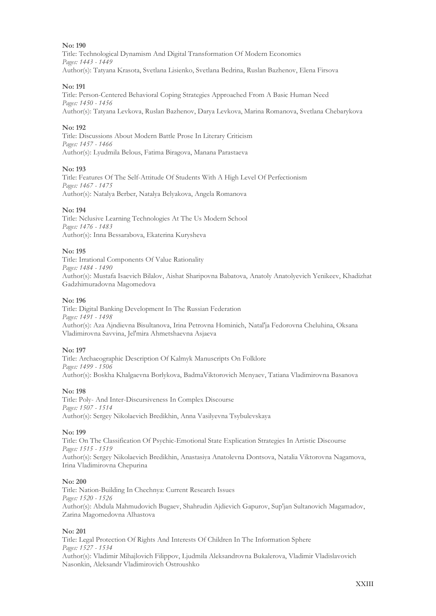Title: Technological Dynamism And Digital Transformation Of Modern Economics *Pages: 1443 - 1449* Author(s): Tatyana Krasota, Svetlana Lisienko, Svetlana Bedrina, Ruslan Bazhenov, Elena Firsova

### **No: 191**

Title: Person-Centered Behavioral Coping Strategies Approached From A Basic Human Need *Pages: 1450 - 1456* Author(s): Tatyana Levkova, Ruslan Bazhenov, Darya Levkova, Marina Romanova, Svetlana Chebarykova

### **No: 192**

Title: Discussions About Modern Battle Prose In Literary Criticism *Pages: 1457 - 1466* Author(s): Lyudmila Belous, Fatima Biragova, Manana Parastaeva

### **No: 193**

Title: Features Of The Self-Attitude Of Students With A High Level Of Perfectionism *Pages: 1467 - 1475* Author(s): Natalya Berber, Natalya Belyakova, Angela Romanova

### **No: 194**

Title: Nclusive Learning Technologies At The Us Modern School *Pages: 1476 - 1483* Author(s): Inna Bessarabova, Ekaterina Kurysheva

### **No: 195**

Title: Irrational Components Of Value Rationality *Pages: 1484 - 1490* Author(s): Mustafa Isaevich Bilalov, Aishat Sharipovna Babatova, Anatoly Anatolyevich Yenikeev, Khadizhat Gadzhimuradovna Magomedova

### **No: 196**

Title: Digital Banking Development In The Russian Federation *Pages: 1491 - 1498* Author(s): Aza Ajndievna Bisultanova, Irina Petrovna Hominich, Natal'ja Fedorovna Cheluhina, Oksana Vladimirovna Savvina, Jel'mira Ahmetshaevna Asjaeva

### **No: 197**

Title: Archaeographic Description Of Kalmyk Manuscripts On Folklore *Pages: 1499 - 1506* Author(s): Boskha Khalgaevna Borlykova, BadmaViktorovich Menyaev, Tatiana Vladimirovna Basanova

### **No: 198**

Title: Poly- And Inter-Discursiveness In Complex Discourse *Pages: 1507 - 1514* Author(s): Sergey Nikolaevich Bredikhin, Anna Vasilyevna Tsybulevskaya

### **No: 199**

Title: On The Classification Of Psychic-Emotional State Explication Strategies In Artistic Discourse *Pages: 1515 - 1519* Author(s): Sergey Nikolaevich Bredikhin, Anastasiya Anatolevna Dontsova, Natalia Viktorovna Nagamova, Irina Vladimirovna Chepurina

### **No: 200**

Title: Nation-Building In Chechnya: Current Research Issues *Pages: 1520 - 1526* Author(s): Abdula Mahmudovich Bugaev, Shahrudin Ajdievich Gapurov, Sup'jan Sultanovich Magamadov, Zarina Magomedovna Alhastova

### **No: 201**

Title: Legal Protection Of Rights And Interests Of Children In The Information Sphere *Pages: 1527 - 1534* Author(s): Vladimir Mihajlovich Filippov, Ljudmila Aleksandrovna Bukalerova, Vladimir Vladislavovich Nasonkin, Aleksandr Vladimirovich Ostroushko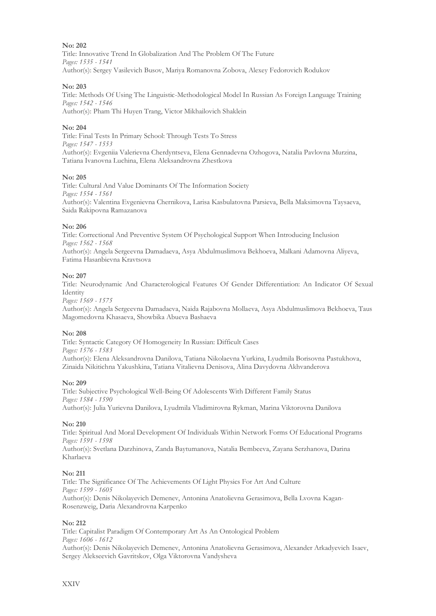Title: Innovative Trend In Globalization And The Problem Of The Future *Pages: 1535 - 1541* Author(s): Sergey Vasilevich Busov, Mariya Romanovna Zobova, Alexey Fedorovich Rodukov

### **No: 203**

Title: Methods Of Using The Linguistic-Methodological Model In Russian As Foreign Language Training *Pages: 1542 - 1546* Author(s): Pham Thi Huyen Trang, Victor Mikhailovich Shaklein

### **No: 204**

Title: Final Tests In Primary School: Through Tests To Stress *Pages: 1547 - 1553* Author(s): Evgeniia Valerievna Cherdyntseva, Elena Gennadevna Ozhogova, Natalia Pavlovna Murzina, Tatiana Ivanovna Luchina, Elena Aleksandrovna Zhestkova

### **No: 205**

Title: Cultural And Value Dominants Of The Information Society *Pages: 1554 - 1561* Author(s): Valentina Evgenievna Chernikova, Larisa Kasbulatovna Parsieva, Bella Maksimovna Taysaeva, Saida Rakipovna Ramazanova

### **No: 206**

Title: Correctional And Preventive System Of Psychological Support When Introducing Inclusion *Pages: 1562 - 1568* Author(s): Angela Sergeevna Damadaeva, Asya Abdulmuslimova Bekhoeva, Malkani Adamovna Aliyeva,

### Fatima Hasanbievna Kravtsova

### **No: 207**

Title: Neurodynamic And Characterological Features Of Gender Differentiation: An Indicator Of Sexual **Identity** 

*Pages: 1569 - 1575*

Author(s): Angela Sergeevna Damadaeva, Naida Rajabovna Mollaeva, Asya Abdulmuslimova Bekhoeva, Taus Magomedovna Khasaeva, Showbika Abueva Bashaeva

### **No: 208**

Title: Syntactic Category Of Homogeneity In Russian: Difficult Cases *Pages: 1576 - 1583* Author(s): Elena Aleksandrovna Danilova, Tatiana Nikolaevna Yurkina, Lyudmila Borisovna Pastukhova, Zinaida Nikitichna Yakushkina, Tatiana Vitalievna Denisova, Alina Davydovna Akhvanderova

### **No: 209**

Title: Subjective Psychological Well-Being Of Adolescents With Different Family Status *Pages: 1584 - 1590* Author(s): Julia Yurievna Danilova, Lyudmila Vladimirovna Rykman, Marina Viktorovna Danilova

### **No: 210**

Title: Spiritual And Moral Development Of Individuals Within Network Forms Of Educational Programs *Pages: 1591 - 1598* Author(s): Svetlana Darzhinova, Zanda Baytumanova, Natalia Bembeeva, Zayana Serzhanova, Darina Kharlaeva

### **No: 211**

Title: The Significance Of The Achievements Of Light Physics For Art And Culture *Pages: 1599 - 1605* Author(s): Denis Nikolayevich Demenev, Antonina Anatolievna Gerasimova, Bella Lvovna Kagan-Rosenzweig, Daria Alexandrovna Karpenko

### **No: 212**

Title: Сapitalist Paradigm Of Contemporary Art As An Ontological Problem *Pages: 1606 - 1612* Author(s): Denis Nikolayevich Demenev, Antonina Anatolievna Gerasimova, Alexander Arkadyevich Isaev, Sergey Alekseevich Gavritskov, Olga Viktorovna Vandysheva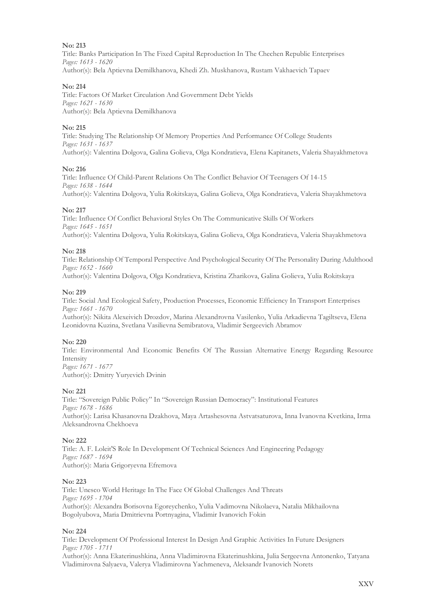Title: Banks Participation In The Fixed Capital Reproduction In The Chechen Republic Enterprises *Pages: 1613 - 1620* Author(s): Bela Aptievna Demilkhanova, Khedi Zh. Muskhanova, Rustam Vakhaevich Tapaev

### **No: 214**

Title: Factors Of Market Circulation And Government Debt Yields *Pages: 1621 - 1630* Author(s): Bela Aptievna Demilkhanova

### **No: 215**

Title: Studying The Relationship Of Memory Properties And Performance Of College Students *Pages: 1631 - 1637* Author(s): Valentina Dolgova, Galina Golieva, Olga Kondratieva, Elena Kapitanets, Valeria Shayakhmetova

### **No: 216**

Title: Influence Of Child-Parent Relations On The Conflict Behavior Of Teenagers Of 14-15 *Pages: 1638 - 1644* Author(s): Valentina Dolgova, Yulia Rokitskaya, Galina Golieva, Olga Kondratieva, Valeria Shayakhmetova

### **No: 217**

Title: Influence Of Conflict Behavioral Styles On The Communicative Skills Of Workers *Pages: 1645 - 1651* Author(s): Valentina Dolgova, Yulia Rokitskaya, Galina Golieva, Olga Kondratieva, Valeria Shayakhmetova

### **No: 218**

Title: Relationship Of Temporal Perspective And Psychological Security Of The Personality During Adulthood *Pages: 1652 - 1660*

Author(s): Valentina Dolgova, Olga Kondratieva, Kristina Zharikova, Galina Golieva, Yulia Rokitskaya

### **No: 219**

Title: Social And Ecological Safety, Production Processes, Economic Efficiency In Transport Enterprises *Pages: 1661 - 1670*

Author(s): Nikita Alexeivich Drozdov, Marina Alexandrovna Vasilenko, Yulia Arkadievna Tagiltseva, Elena Leonidovna Kuzina, Svetlana Vasilievna Semibratova, Vladimir Sergeevich Abramov

### **No: 220**

Title: Environmental And Economic Benefits Of The Russian Alternative Energy Regarding Resource Intensity *Pages: 1671 - 1677* Author(s): Dmitry Yuryevich Dvinin

### **No: 221**

Title: "Sovereign Public Policy" In "Sovereign Russian Democracy": Institutional Features *Pages: 1678 - 1686* Author(s): Larisa Khasanovna Dzakhova, Maya Artashesovna Astvatsaturova, Inna Ivanovna Kvetkina, Irma Aleksandrovna Chekhoeva

### **No: 222**

Title: A. F. Loleit'S Role In Development Of Technical Sciences And Engineering Pedagogy *Pages: 1687 - 1694* Author(s): Maria Grigoryevna Efremova

### **No: 223**

Title: Unesco World Heritage In The Face Of Global Challenges And Threats *Pages: 1695 - 1704* Author(s): Alexandra Borisovna Egoreychenko, Yulia Vadimovna Nikolaeva, Natalia Mikhailovna Bogolyubova, Maria Dmitrievna Portnyagina, Vladimir Ivanovich Fokin

### **No: 224**

Title: Development Of Professional Interest In Design And Graphic Activities In Future Designers *Pages: 1705 - 1711*

Author(s): Anna Ekaterinushkina, Anna Vladimirovna Ekaterinushkina, Julia Sergeevna Antonenko, Tatyana Vladimirovna Salyaeva, Valerya Vladimirovna Yachmeneva, Aleksandr Ivanovich Norets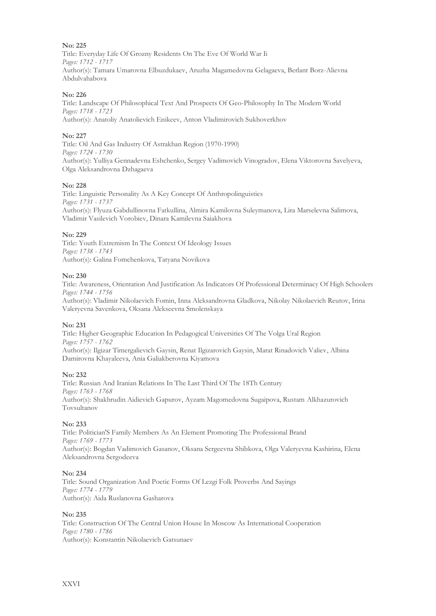Title: Everyday Life Of Grozny Residents On The Eve Of World War Ii *Pages: 1712 - 1717* Author(s): Tamara Umarovna Elbuzdukaev, Aruzha Magamedovna Gelagaeva, Berlant Borz-Alievna Abdulvahabova

### **No: 226**

Title: Landscape Of Philosophical Text And Prospects Of Geo-Philosophy In The Modern World *Pages: 1718 - 1723* Author(s): Anatoliy Anatolievich Enikeev, Anton Vladimirovich Sukhoverkhov

### **No: 227**

Title: Oil And Gas Industry Of Astrakhan Region (1970-1990) *Pages: 1724 - 1730* Author(s): Yulliya Gennadevna Eshchenko, Sergey Vadimovich Vinogradov, Elena Viktorovna Savelyeva, Olga Aleksandrovna Dzhagaeva

### **No: 228**

Title: Linguistic Personality As A Key Concept Of Anthropolinguistics *Pages: 1731 - 1737* Author(s): Flyuza Gabdullinovna Fatkullina, Almira Kamilovna Suleymanova, Lira Marselevna Salimova, Vladimir Vasilevich Vorobiev, Dinara Kamilevna Saiakhova

### **No: 229**

Title: Youth Extremism In The Context Of Ideology Issues *Pages: 1738 - 1743* Author(s): Galina Fomchenkova, Tatyana Novikova

### **No: 230**

Title: Awareness, Orientation And Justification As Indicators Of Professional Determinacy Of High Schoolers *Pages: 1744 - 1756*

Author(s): Vladimir Nikolaevich Fomin, Inna Aleksandrovna Gladkova, Nikolay Nikolaevich Reutov, Irina Valeryevna Savenkova, Oksana Alekseevna Smolenskaya

### **No: 231**

Title: Higher Geographic Education In Pedagogical Universities Of The Volga Ural Region *Pages: 1757 - 1762* Author(s): Ilgizar Timergalievich Gaysin, Renat Ilgizarovich Gaysin, Marat Rinadovich Valiev, Albina Damirovna Khayaleeva, Ania Galiakberovna Kiyamova

### **No: 232**

Title: Russian And Iranian Relations In The Last Third Of The 18Th Century *Pages: 1763 - 1768* Author(s): Shakhrudin Aidievich Gapurov, Ayzam Magomedovna Sugaipova, Rustam Alkhazurovich Tovsultanov

### **No: 233**

Title: Politician'S Family Members As An Element Promoting The Professional Brand *Pages: 1769 - 1773* Author(s): Bogdan Vadimovich Gasanov, Oksana Sergeevna Shibkova, Olga Valeryevna Kashirina, Elena Aleksandrovna Sergodeeva

### **No: 234**

Title: Sound Organization And Poetic Forms Of Lezgi Folk Proverbs And Sayings *Pages: 1774 - 1779* Author(s): Aida Ruslanovna Gasharova

### **No: 235**

Title: Construction Of The Central Union House In Moscow As International Cooperation *Pages: 1780 - 1786* Author(s): Konstantin Nikolaevich Gatsunaev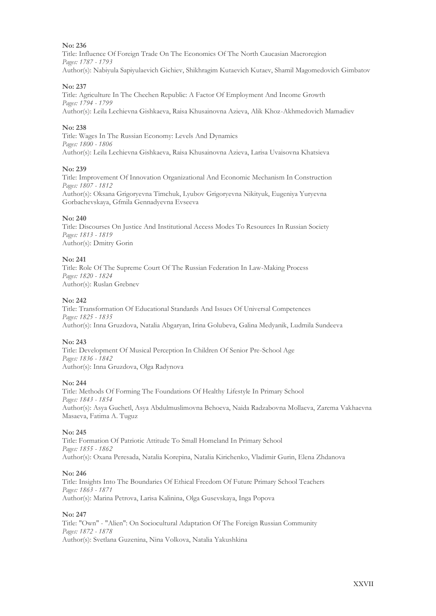Title: Influence Of Foreign Trade On The Economics Of The North Caucasian Macroregion *Pages: 1787 - 1793* Author(s): Nabiyula Sapiyulaevich Gichiev, Shikhragim Kutaevich Kutaev, Shamil Magomedovich Gimbatov

### **No: 237**

Title: Agriculture In The Chechen Republic: A Factor Of Employment And Income Growth *Pages: 1794 - 1799* Author(s): Leila Lechievna Gishkaeva, Raisa Khusainovna Azieva, Alik Khoz-Akhmedovich Mamadiev

### **No: 238**

Title: Wages In The Russian Economy: Levels And Dynamics *Pages: 1800 - 1806* Author(s): Leila Lechievna Gishkaeva, Raisa Khusainovna Azieva, Larisa Uvaisovna Khatsieva

### **No: 239**

Title: Improvement Of Innovation Organizational And Economic Mechanism In Construction *Pages: 1807 - 1812* Author(s): Oksana Grigoryevna Timchuk, Lyubov Grigoryevna Nikityuk, Eugeniya Yuryevna Gorbachevskaya, Gfmila Gennadyevna Evseeva

### **No: 240**

Title: Discourses On Justice And Institutional Access Modes To Resources In Russian Society *Pages: 1813 - 1819* Author(s): Dmitry Gorin

### **No: 241**

Title: Role Of The Supreme Court Of The Russian Federation In Law-Making Process *Pages: 1820 - 1824* Author(s): Ruslan Grebnev

### **No: 242**

Title: Transformation Of Educational Standards And Issues Of Universal Competences *Pages: 1825 - 1835* Author(s): Inna Gruzdova, Natalia Abgaryan, Irina Golubeva, Galina Medyanik, Ludmila Sundeeva

### **No: 243**

Title: Development Of Musical Perception In Children Of Senior Pre-School Age *Pages: 1836 - 1842* Author(s): Inna Gruzdova, Olga Radynova

### **No: 244**

Title: Methods Of Forming The Foundations Of Healthy Lifestyle In Primary School *Pages: 1843 - 1854* Author(s): Asya Guchetl, Asya Abdulmuslimovna Behoeva, Naida Radzabovna Mollaeva, Zarema Vakhaevna Masaeva, Fatima A. Tuguz

### **No: 245**

Title: Formation Of Patriotic Attitude To Small Homeland In Primary School *Pages: 1855 - 1862* Author(s): Oxana Peresada, Natalia Korepina, Natalia Kirichenko, Vladimir Gurin, Elena Zhdanova

### **No: 246**

Title: Insights Into The Boundaries Of Ethical Freedom Of Future Primary School Teachers *Pages: 1863 - 1871* Author(s): Marina Petrova, Larisa Kalinina, Olga Gusevskaya, Inga Popova

### **No: 247**

Title: "Own" - "Alien": On Sociocultural Adaptation Of The Foreign Russian Community *Pages: 1872 - 1878* Author(s): Svetlana Guzenina, Nina Volkova, Natalia Yakushkina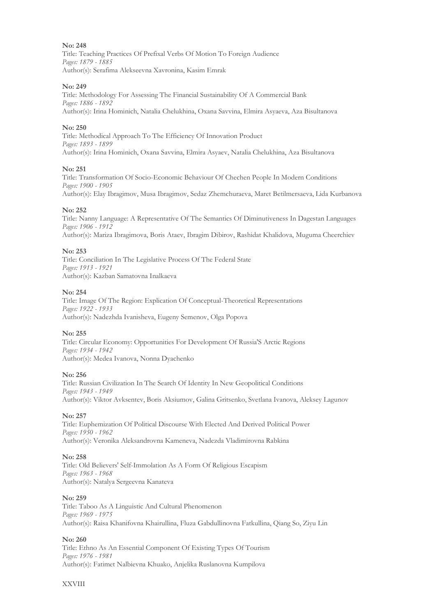Title: Teaching Practices Of Prefixal Verbs Of Motion To Foreign Audience *Pages: 1879 - 1885* Author(s): Serafima Alekseevna Xavronina, Kasim Emrak

### **No: 249**

Title: Methodology For Assessing The Financial Sustainability Of A Commercial Bank *Pages: 1886 - 1892* Author(s): Irina Hominich, Natalia Chelukhina, Oxana Savvina, Elmira Asyaeva, Aza Bisultanova

### **No: 250**

Title: Methodical Approach To The Efficiency Of Innovation Product *Pages: 1893 - 1899* Author(s): Irina Hominich, Oxana Savvina, Elmira Asyaev, Natalia Chelukhina, Aza Bisultanova

### **No: 251**

Title: Transformation Of Socio-Economic Behaviour Of Chechen People In Modern Conditions *Pages: 1900 - 1905* Author(s): Elay Ibragimov, Musa Ibragimov, Sedaz Zhemchuraeva, Maret Betilmersaeva, Lida Kurbanova

### **No: 252**

Title: Nanny Language: A Representative Of The Semantics Of Diminutiveness In Dagestan Languages *Pages: 1906 - 1912* Author(s): Mariza Ibragimova, Boris Ataev, Ibragim Dibirov, Rashidat Khalidova, Muguma Cheerchiev

### **No: 253**

Title: Conciliation In The Legislative Process Of The Federal State *Pages: 1913 - 1921* Author(s): Kazban Samatovna Inalkaeva

### **No: 254**

Title: Image Of The Region: Explication Of Conceptual-Theoretical Representations *Pages: 1922 - 1933* Author(s): Nadezhda Ivanisheva, Eugeny Semenov, Olga Popova

### **No: 255**

Title: Circular Economy: Opportunities For Development Of Russia'S Arctic Regions *Pages: 1934 - 1942* Author(s): Medea Ivanova, Nonna Dyachenko

### **No: 256**

Title: Russian Civilization In The Search Of Identity In New Geopolitical Conditions *Pages: 1943 - 1949* Author(s): Viktor Avksentev, Boris Aksiumov, Galina Gritsenko, Svetlana Ivanova, Aleksey Lagunov

### **No: 257**

Title: Euphemization Of Political Discourse With Elected And Derived Political Power *Pages: 1950 - 1962* Author(s): Veronika Aleksandrovna Kameneva, Nadezda Vladimirovna Rabkina

### **No: 258**

Title: Old Believers' Self-Immolation As A Form Of Religious Escapism *Pages: 1963 - 1968* Author(s): Natalya Sergeevna Kanateva

### **No: 259**

Title: Taboo As A Linguistic And Cultural Phenomenon *Pages: 1969 - 1975* Author(s): Raisa Khanifovna Khairullina, Fluza Gabdullinovna Fatkullina, Qiang So, Ziyu Lin

### **No: 260**

Title: Ethno As An Essential Component Of Existing Types Of Tourism *Pages: 1976 - 1981* Author(s): Fatimet Nalbievna Khuako, Anjelika Ruslanovna Kumpilova

### XXVIII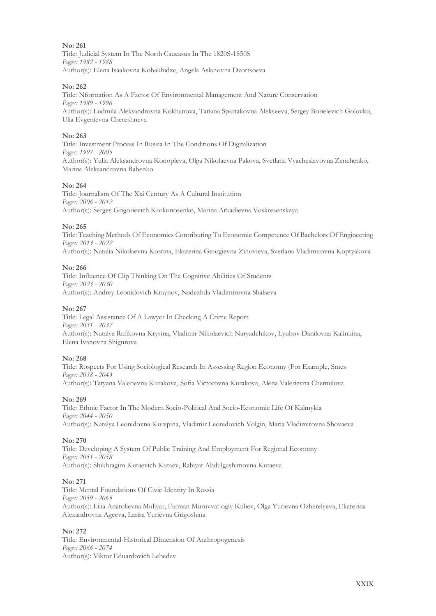**No: 261** Title: Judicial System In The North Caucasus In The 1820S-1850S *Pages: 1982 - 1988* Author(s): Elena Isaakovna Kobakhidze, Angela Aslanovna Dzottsoeva

### **No: 262**

Title: Nformation As A Factor Of Environmental Management And Nature Conservation *Pages: 1989 - 1996* Author(s): Ludmila Aleksandrovna Kokhanova, Tatiana Spartakovna Alekseeva, Sergey Borielevich Golovko, Ulia Evgenievna Chereshneva

### **No: 263**

Title: Investment Process In Russia In The Conditions Of Digitalization *Pages: 1997 - 2005* Author(s): Yulia Aleksandrovna Konopleva, Olga Nikolaevna Pakova, Svetlana Vyacheslavovna Zenchenko, Marina Aleksandrovna Babenko

### **No: 264**

Title: Journalism Of The Xxi Century As A Cultural Institution *Pages: 2006 - 2012* Author(s): Sergey Grigorievich Korkonosenko, Marina Arkadievna Voskresenskaya

### **No: 265**

Title: Teaching Methods Of Economics Contributing To Economic Competence Of Bachelors Of Engineering *Pages: 2013 - 2022* Author(s): Natalia Nikolaevna Kostina, Ekaterina Georgievna Zinovieva, Svetlana Vladimirovna Koptyakova

### **No: 266**

Title: Influence Of Clip Thinking On The Cognitive Abilities Of Students *Pages: 2023 - 2030* Author(s): Andrey Leonidovich Kraynov, Nadezhda Vladimirovna Shalaeva

### **No: 267**

Title: Legal Assistance Of A Lawyer In Checking A Crime Report *Pages: 2031 - 2037* Author(s): Natalya Rafikovna Krysina, Vladimir Nikolaevich Naryadchikov, Lyubov Danilovna Kalinkina, Elena Ivanovna Shigurova

### **No: 268**

Title: Rospects For Using Sociological Research In Assessing Region Economy (For Example, Smes *Pages: 2038 - 2043* Author(s): Tatyana Valerievna Kurakova, Sofia Victorovna Kurakova, Alena Valerievna Chemulova

### **No: 269**

Title: Ethnic Factor In The Modern Socio-Political And Socio-Economic Life Of Kalmykia *Pages: 2044 - 2050* Author(s): Natalya Leonidovna Kurepina, Vladimir Leonidovich Volgin, Maria Vladimirovna Shovaeva

### **No: 270**

Title: Developing A System Of Public Training And Employment For Regional Economy *Pages: 2051 - 2058* Author(s): Shikhragim Kutaevich Kutaev, Rabiyat Abdulgashimovna Kutaeva

### **No: 271**

Title: Mental Foundations Of Civic Identity In Russia *Pages: 2059 - 2065* Author(s): Lilia Anatolievna Mullyar, Farman Muruvvat ogly Kuliev, Olga Yurievna Ozherelyeva, Ekaterina Alexandrovna Ageeva, Larisa Yurievna Grigoshina

### **No: 272**

Title: Environmental-Historical Dimension Of Anthropogenesis *Pages: 2066 - 2074* Author(s): Viktor Eduardovich Lebedev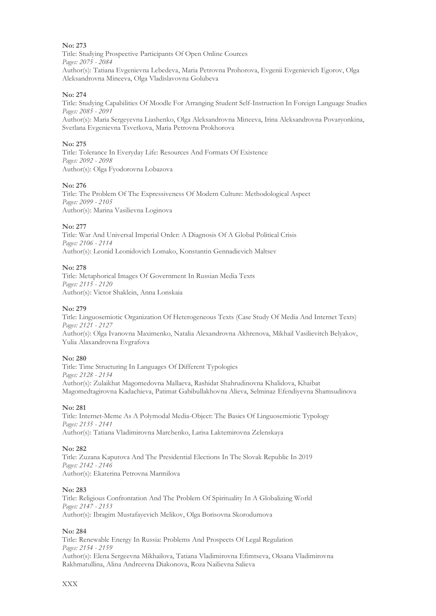Title: Studying Prospective Participants Of Open Online Cources *Pages: 2075 - 2084* Author(s): Tatiana Evgenievna Lebedeva, Maria Petrovna Prohorova, Evgenii Evgenievich Egorov, Olga Aleksandrovna Mineeva, Olga Vladislavovna Golubeva

### **No: 274**

Title: Studying Capabilities Of Moodle For Arranging Student Self-Instruction In Foreign Language Studies *Pages: 2085 - 2091*

Author(s): Maria Sergeyevna Liashenko, Olga Aleksandrovna Mineeva, Irina Aleksandrovna Povaryonkina, Svetlana Evgenievna Tsvetkova, Maria Petrovna Prokhorova

### **No: 275**

Title: Tolerance In Everyday Life: Resources And Formats Of Existence *Pages: 2092 - 2098* Author(s): Olga Fyodorovna Lobazova

### **No: 276**

Title: The Problem Of The Expressiveness Of Modern Culture: Methodological Aspect *Pages: 2099 - 2105* Author(s): Marina Vasilievna Loginova

### **No: 277**

Title: War And Universal Imperial Order: A Diagnosis Of A Global Political Crisis *Pages: 2106 - 2114* Author(s): Leonid Leonidovich Lomako, Konstantin Gennadievich Maltsev

### **No: 278**

Title: Metaphorical Images Of Government In Russian Media Texts *Pages: 2115 - 2120* Author(s): Victor Shaklein, Anna Lonskaia

### **No: 279**

Title: Linguosemiotic Organization Of Heterogeneous Texts (Case Study Of Media And Internet Texts) *Pages: 2121 - 2127* Author(s): Olga Ivanovna Maximenko, Natalia Alexandrovna Akhrenova, Mikhail Vasilievitch Belyakov, Yulia Alaxandrovna Evgrafova

### **No: 280**

Title: Time Structuring In Languages Of Different Typologies *Pages: 2128 - 2134* Author(s): Zulaikhat Magomedovna Mallaeva, Rashidat Shahrudinovna Khalidova, Khaibat Magomedtagirovna Kadachieva, Patimat Gabibullakhovna Alieva, Selminaz Efendiyevna Shamsudinova

### **No: 281**

Title: Internet-Meme As A Polymodal Media-Object: The Basics Of Linguosemiotic Typology *Pages: 2135 - 2141* Author(s): Tatiana Vladimirovna Marchenko, Larisa Laktemirovna Zelenskaya

### **No: 282**

Title: Zuzana Kaputova And The Presidential Elections In The Slovak Republic In 2019 *Pages: 2142 - 2146* Author(s): Ekaterina Petrovna Marmilova

### **No: 283**

Title: Religious Confrontation And The Problem Of Spirituality In A Globalizing World *Pages: 2147 - 2153* Author(s): Ibragim Mustafayevich Melikov, Olga Borisovna Skorodumova

### **No: 284**

Title: Renewable Energy In Russia: Problems And Prospects Of Legal Regulation *Pages: 2154 - 2159* Author(s): Elena Sergeevna Mikhailova, Tatiana Vladimirovna Efimtseva, Oksana Vladimirovna Rakhmatullina, Alina Andreevna Diakonova, Roza Nailievna Salieva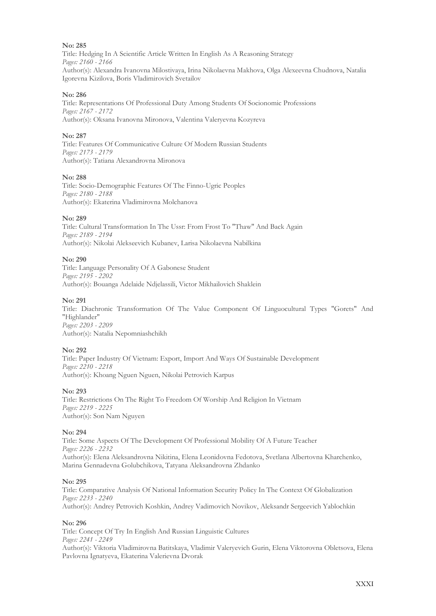Title: Hedging In A Scientific Article Written In English As A Reasoning Strategy *Pages: 2160 - 2166* Author(s): Alexandra Ivanovna Milostivaya, Irina Nikolaevna Makhova, Olga Alexeevna Chudnova, Natalia Igorevna Kizilova, Boris Vladimirоvich Svetailov

### **No: 286**

Title: Representations Of Professional Duty Among Students Of Socionomic Professions *Pages: 2167 - 2172* Author(s): Oksana Ivanovna Mironova, Valentina Valeryevna Kozyreva

### **No: 287**

Title: Features Of Communicative Culture Of Modern Russian Students *Pages: 2173 - 2179* Author(s): Tatiana Alexandrovna Mironova

### **No: 288**

Title: Socio-Demographic Features Of The Finno-Ugric Peoples *Pages: 2180 - 2188* Author(s): Ekaterina Vladimirovna Molchanova

### **No: 289**

Title: Cultural Transformation In The Ussr: From Frost To "Thaw" And Back Again *Pages: 2189 - 2194* Author(s): Nikolai Alekseevich Kubanev, Larisa Nikolaevna Nabilkina

### **No: 290**

Title: Language Personality Of A Gabonese Student *Pages: 2195 - 2202* Author(s): Bouanga Adelaide Ndjelassili, Victor Mikhailovich Shaklein

### **No: 291**

Title: Diachronic Transformation Of The Value Component Of Linguocultural Types "Gorets" And "Highlander" *Pages: 2203 - 2209* Author(s): Natalia Nepomniashchikh

### **No: 292**

Title: Paper Industry Of Vietnam: Export, Import And Ways Of Sustainable Development *Pages: 2210 - 2218* Author(s): Khoang Nguen Nguen, Nikolai Petrovich Karpus

### **No: 293**

Title: Restrictions On The Right To Freedom Of Worship And Religion In Vietnam *Pages: 2219 - 2225* Author(s): Son Nam Nguyen

### **No: 294**

Title: Some Aspects Of The Development Of Professional Mobility Of A Future Teаcher *Pages: 2226 - 2232* Author(s): Elena Aleksandrovna Nikitina, Elena Leonidovna Fedotova, Svetlana Albertovna Kharchenko, Marina Gennadevna Golubchikova, Tatyana Aleksandrovna Zhdanko

### **No: 295**

Title: Comparative Analysis Of National Information Security Policy In The Context Of Globalization *Pages: 2233 - 2240* Author(s): Andrey Petrovich Koshkin, Andrey Vadimovich Novikov, Aleksandr Sergeevich Yablochkin

### **No: 296**

Title: Concept Of Try In English And Russian Linguistic Cultures *Pages: 2241 - 2249* Author(s): Viktoria Vladimirovna Batitskaya, Vladimir Valeryevich Gurin, Elena Viktorovna Obletsova, Elena Pavlovna Ignatyeva, Ekaterina Valerievna Dvorak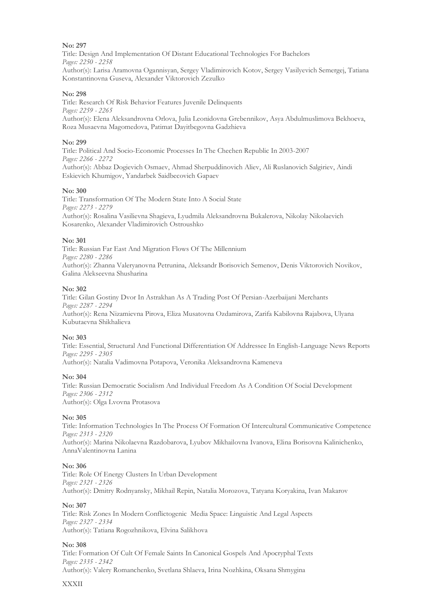Title: Design And Implementation Of Distant Educational Technologies For Bachelors *Pages: 2250 - 2258* Author(s): Larisa Aramovna Ogannisyan, Sergey Vladimirovich Kotov, Sergey Vasilyevich Semergej, Tatiana Konstantinovna Guseva, Alexander Viktorovich Zezulko

### **No: 298**

Title: Research Of Risk Behavior Features Juvenile Delinquents *Pages: 2259 - 2265* Author(s): Elena Aleksandrovna Orlova, Julia Leonidovna Grebennikov, Asya Abdulmuslimova Bekhoeva, Roza Musaevna Magomedova, Patimat Dayitbegovna Gadzhieva

### **No: 299**

Title: Political And Socio-Economic Processes In The Chechen Republic In 2003-2007 *Pages: 2266 - 2272* Author(s): Abbaz Dogievich Osmaev, Ahmad Sherpuddinovich Aliev, Ali Ruslanovich Salgiriev, Aindi Eskievich Khumigov, Yandarbek Saidbecovich Gapaev

### **No: 300**

Title: Transformation Of The Modern State Into A Social State *Pages: 2273 - 2279* Author(s): Rosalina Vasilievna Shagieva, Lyudmila Aleksandrovna Bukalerova, Nikolay Nikolaevich Kosarenko, Alexander Vladimirovich Ostroushko

### **No: 301**

Title: Russian Far East And Migration Flows Of The Millennium *Pages: 2280 - 2286* Author(s): Zhanna Valeryanovna Petrunina, Aleksandr Borisovich Semenov, Denis Viktorovich Novikov, Galina Alekseevna Shusharina

### **No: 302**

Title: Gilan Gostiny Dvor In Astrakhan As A Trading Post Of Persian-Azerbaijani Merchants *Pages: 2287 - 2294* Author(s): Rena Nizamievna Pirova, Eliza Musatovna Ozdamirova, Zarifa Kabilovna Rajabova, Ulyana Kubutaevna Shikhalieva

### **No: 303**

Title: Essential, Structural And Functional Differentiation Of Addressee In English-Language News Reports *Pages: 2295 - 2305*

Author(s): Natalia Vadimovna Potapova, Veronika Aleksandrovna Kameneva

### **No: 304**

Title: Russian Democratic Socialism And Individual Freedom As A Condition Of Social Development *Pages: 2306 - 2312* Author(s): Olga Lvovna Protasova

### **No: 305**

Title: Information Technologies In The Process Of Formation Of Intercultural Communicative Competence *Pages: 2313 - 2320*

Author(s): Marina Nikolaevna Razdobarova, Lyubov Mikhailovna Ivanova, Elina Borisovna Kalinichenko, AnnaValentinovna Lanina

### **No: 306**

Title: Role Of Energy Clusters In Urban Development *Pages: 2321 - 2326* Author(s): Dmitry Rodnyansky, Mikhail Repin, Natalia Morozova, Tatyana Koryakina, Ivan Makarov

### **No: 307**

Title: Risk Zones In Modern Conflictogenic Media Space: Linguistic And Legal Aspects *Pages: 2327 - 2334* Author(s): Tatiana Rogozhnikova, Elvina Salikhova

### **No: 308**

Title: Formation Of Cult Of Female Saints In Canonical Gospels And Apocryphal Texts *Pages: 2335 - 2342* Author(s): Valery Romanchenko, Svetlana Shlaeva, Irina Nozhkina, Oksana Shmygina

### XXXII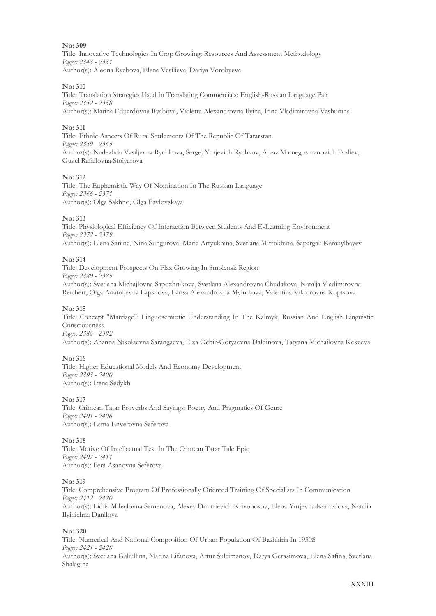Title: Innovative Technologies In Crop Growing: Resources And Assessment Methodology *Pages: 2343 - 2351* Author(s): Aleona Ryabova, Elena Vasilieva, Dariya Vorobyeva

### **No: 310**

Title: Translation Strategies Used In Translating Commercials: English-Russian Language Pair *Pages: 2352 - 2358* Author(s): Marina Eduardovna Ryabova, Violetta Alexandrovna Ilyina, Irina Vladimirovna Vashunina

### **No: 311**

Title: Ethnic Aspects Of Rural Settlements Of The Republic Of Tatarstan *Pages: 2359 - 2365* Author(s): Nadezhda Vasiljevna Rychkova, Sergej Yurjevich Rychkov, Ajvaz Minnegosmanovich Fazliev, Guzel Rafailovna Stolyarova

### **No: 312**

Title: The Euphemistic Way Of Nomination In The Russian Language *Pages: 2366 - 2371* Author(s): Olga Sakhno, Olga Pavlovskaya

### **No: 313**

Title: Physiological Efficiency Of Interaction Between Students And E-Learning Environment *Pages: 2372 - 2379* Author(s): Elena Sanina, Nina Sungurova, Maria Artyukhina, Svetlana Mitrokhinа, Sapargali Karauylbayev

### **No: 314**

Title: Development Prospects On Flax Growing In Smolensk Region *Pages: 2380 - 2385* Author(s): Svetlana Michajlovna Sapozhnikova, Svetlana Alexandrovna Chudakova, Natalja Vladimirovna Reichert, Olga Anatoljevna Lapshova, Larisa Alexandrovna Mylnikova, Valentina Viktorovna Kuptsova

### **No: 315**

Title: Concept "Marriage": Linguosemiotic Understanding In The Kalmyk, Russian And English Linguistic Consciousness *Pages: 2386 - 2392*

Author(s): Zhanna Nikolaevna Sarangaeva, Elza Ochir-Goryaevna Daldinova, Tatyana Michailovna Kekeeva

### **No: 316**

Title: Higher Educational Models And Economy Development *Pages: 2393 - 2400* Author(s): Irena Sedykh

### **No: 317**

Title: Crimean Tatar Proverbs And Sayings: Poetry And Pragmatics Of Genre *Pages: 2401 - 2406* Author(s): Esma Enverovna Seferova

### **No: 318**

Title: Motive Of Intellectual Test In The Crimean Tatar Tale Epic *Pages: 2407 - 2411* Author(s): Fera Asanovna Seferova

### **No: 319**

Title: Comprehensive Program Of Professionally Oriented Training Of Specialists In Communication *Pages: 2412 - 2420* Author(s): Lidiia Mihajlovna Semenova, Alexey Dmitrievich Krivonosov, Elena Yurjevna Karmalova, Natalia Ilyinichna Danilovа

### **No: 320**

Title: Numerical And National Composition Of Urban Population Of Bashkiria In 1930S *Pages: 2421 - 2428* Author(s): Svetlana Galiullina, Marina Lifanova, Artur Suleimanov, Darya Gerasimova, Elena Safina, Svetlana Shalagina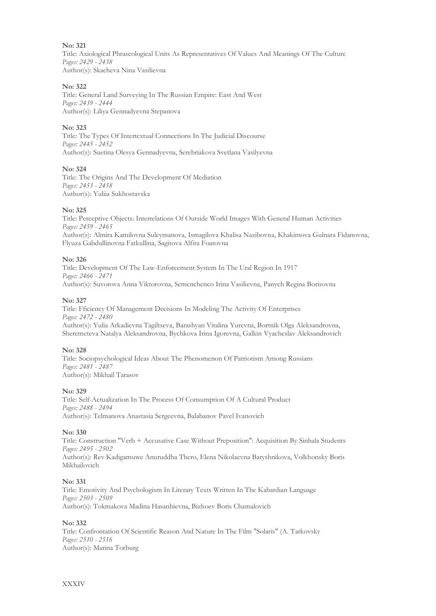Title: Axiological Phraseological Units As Representatives Of Values And Meanings Of The Culture *Pages: 2429 - 2438* Author(s): Skacheva Nina Vasilievna

### **No: 322**

Title: General Land Surveying In The Russian Empire: East And West *Pages: 2439 - 2444* Author(s): Liliya Gennadyevna Stepanova

### **No: 323**

Title: The Types Of Intertextual Connections In The Judicial Discourse *Pages: 2445 - 2452* Author(s): Suetina Olesya Gennadyevna, Serebriakova Svetlana Vasilyevna

### **No: 324**

Title: The Origins And The Development Of Mediation *Pages: 2453 - 2458* Author(s): Yuliia Sukhostavska

### **No: 325**

Title: Perceptive Objects: Interrelations Of Outside World Images With General Human Activities *Pages: 2459 - 2465* Author(s): Almira Kamilovna Suleymanova, Ismagilova Khalisa Nazibovna, Khakimova Gulnara Fidanovna, Flyuza Gabdullinovna Fatkullina, Sagitova Alfira Foatovna

### **No: 326**

Title: Development Of The Law-Enforcement System In The Ural Region In 1917 *Pages: 2466 - 2471* Author(s): Suvorova Anna Viktorovna, Semenchenco Irina Vasilievna, Panych Regina Borisovna

### **No: 327**

Title: Fficiency Of Management Decisions In Modeling The Activity Of Enterprises *Pages: 2472 - 2480* Author(s): Yulia Arkadievna Tagiltseva, Barashyan Vitalina Yurevna, Bortnik Olga Aleksandrovna, Sheremeteva Natalya Aleksandrovna, Bychkova Irina Igorevna, Galkin Vyacheslav Aleksandrovich

### **No: 328**

Title: Sociopsychological Ideas About The Phenomenon Of Patriotism Among Russians *Pages: 2481 - 2487* Author(s): Mikhail Tarasov

### **No: 329**

Title: Self-Actualization In The Process Of Consumption Of A Cultural Product *Pages: 2488 - 2494* Author(s): Telmanova Anastasia Sergeevna, Balabanov Pavel Ivanovich

### **No: 330**

Title: Construction "Verb + Accusative Case Without Preposition": Acquisition By Sinhala Students *Pages: 2495 - 2502* Author(s): Rev Kadigamuwe Anuruddha Thero, Elena Nikolaevna Baryshnikova, Volkhonsky Boris Mikhailovich

### **No: 331**

Title: Emotivity And Psychologism In Literary Texts Written In The Kabardian Language *Pages: 2503 - 2509* Author(s): Тokmakova Madina Hasanbievna, Bizhoev Boris Chamalovich

### **No: 332**

Title: Confrontation Of Scientific Reason And Nature In The Film "Solaris" (A. Tarkovsky *Pages: 2510 - 2516* Author(s): Marina Torburg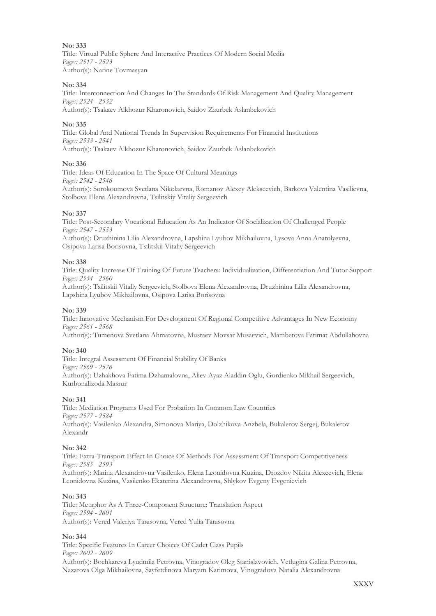Title: Virtual Public Sphere And Interactive Practices Of Modern Social Media *Pages: 2517 - 2523* Author(s): Narine Tovmasyan

### **No: 334**

Title: Interconnection And Changes In The Standards Of Risk Management And Quality Management *Pages: 2524 - 2532*

Author(s): Tsakaev Alkhozur Kharonovich, Saidov Zaurbek Aslanbekovich

### **No: 335**

Title: Global And National Trends In Supervision Requirements For Financial Institutions *Pages: 2533 - 2541* Author(s): Tsakaev Alkhozur Kharonovich, Saidov Zaurbek Aslanbekovich

### **No: 336**

Title: Ideas Of Education In The Space Of Cultural Meanings *Pages: 2542 - 2546* Author(s): Sorokoumova Svetlana Nikolaevna, Romanov Alexey Alekseevich, Barkova Valentina Vasilievna, Stolbova Elena Alexandrovna, Tsilitskiy Vitaliy Sergeevich

### **No: 337**

Title: Post-Secondary Vocational Education As An Indicator Of Socialization Of Challenged People *Pages: 2547 - 2553*

Author(s): Druzhinina Lilia Alexandrovna, Lapshina Lyubov Mikhailovna, Lysova Anna Anatolyevna, Osipova Larisa Borisovna, Tsilitskii Vitaliy Sergeevich

### **No: 338**

Title: Quality Increase Of Training Of Future Teachers: Individualization, Differentiation And Tutor Support *Pages: 2554 - 2560*

Author(s): Tsilitskii Vitaliy Sergeevich, Stolbova Elena Alexandrovna, Druzhinina Lilia Alexandrovna, Lapshina Lyubov Mikhailovna, Osipova Larisa Borisovna

### **No: 339**

Title: Innovative Mechanism For Development Of Regional Competitive Advantages In New Economy *Pages: 2561 - 2568*

Author(s): Tumenova Svetlana Ahmatovna, Mustaev Movsar Musaevich, Mambetova Fatimat Abdullahovna

### **No: 340**

Title: Integral Assessment Of Financial Stability Of Banks *Pages: 2569 - 2576* Author(s): Uzhakhova Fatima Dzhamalovna, Aliev Ayaz Aladdin Oglu, Gordienko Mikhail Sergeevich, Kurbonalizoda Masrur

### **No: 341**

Title: Mediation Programs Used For Probation In Common Law Countries *Pages: 2577 - 2584* Author(s): Vasilenko Alexandra, Simonova Mariya, Dolzhikova Anzhela, Bukalerov Sergej, Bukalerov Alexandr

### **No: 342**

Title: Extra-Transport Effect In Choice Of Methods For Assessment Of Transport Competitiveness *Pages: 2585 - 2593* Author(s): Marina Alexandrovna Vasilenko, Elena Leonidovna Kuzina, Drozdov Nikita Alexeevich, Elena

Leonidovna Kuzina, Vasilenko Ekaterina Alexandrovna, Shlykov Evgeny Evgenievich

### **No: 343**

Title: Metaphor As A Three-Component Structure: Translation Aspect *Pages: 2594 - 2601* Author(s): Vered Valeriya Tarasovna, Vered Yulia Tarasovna

### **No: 344**

Title: Specific Features In Career Choices Of Cadet Class Pupils *Pages: 2602 - 2609* Author(s): Bochkareva Lyudmila Petrovna, Vinogradov Oleg Stanislavovich, Vetlugina Galina Petrovna, Nazarova Olga Mikhailovna, Sayfetdinova Maryam Karimova, Vinogradova Natalia Alexandrovna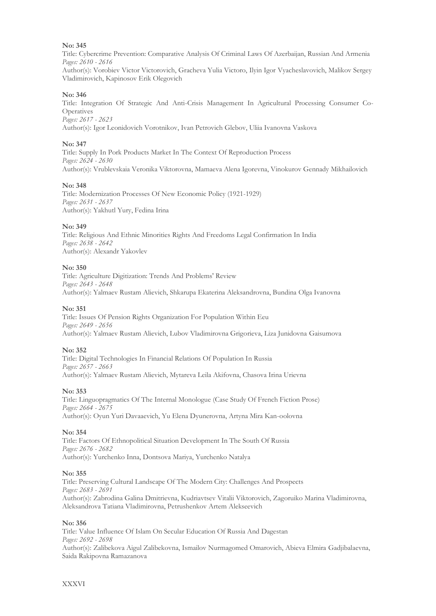Title: Cybercrime Prevention: Comparative Analysis Of Criminal Laws Of Azerbaijan, Russian And Armenia *Pages: 2610 - 2616*

Author(s): Vorobiev Victor Victorovich, Gracheva Yulia Victoro, Ilyin Igor Vyacheslavovich, Malikov Sergey Vladimirovich, Kapinosov Erik Olegovich

### **No: 346**

Title: Integration Of Strategic And Anti-Crisis Management In Agricultural Processing Consumer Co-Operatives *Pages: 2617 - 2623*

Author(s): Igor Leonidovich Vorotnikov, Ivan Petrovich Glebov, Uliia Ivanovna Vaskova

### **No: 347**

Title: Supply In Pork Products Market In The Context Of Reproduction Process *Pages: 2624 - 2630* Author(s): Vrublevskaia Veronika Viktorovna, Mamaeva Alena Igorevna, Vinokurov Gennady Mikhailovich

### **No: 348**

Title: Modernization Processes Of New Economic Policy (1921-1929) *Pages: 2631 - 2637* Author(s): Yakhutl Yury, Fedina Irina

### **No: 349**

Title: Religious And Ethnic Minorities Rights And Freedoms Legal Confirmation In India *Pages: 2638 - 2642* Author(s): Alexandr Yakovlev

### **No: 350**

Title: Agriculture Digitization: Trends And Problems' Review *Pages: 2643 - 2648* Author(s): Yalmaev Rustam Alievich, Shkarupa Еkaterina Аleksandrovna, Bundina Olga Ivanovna

### **No: 351**

Title: Issues Of Pension Rights Organization For Population Within Eeu *Pages: 2649 - 2656* Author(s): Yalmaev Rustam Alievich, Lubov Vladimirovna Grigorieva, Liza Junidovna Gaisumova

### **No: 352**

Title: Digital Technologies In Financial Relations Of Population In Russia *Pages: 2657 - 2663* Author(s): Yalmaev Rustam Alievich, Mytareva Leila Akifovna, Chasova Irina Urievna

### **No: 353**

Title: Linguopragmatics Of The Internal Monologue (Case Study Of French Fiction Prose) *Pages: 2664 - 2675* Author(s): Oyun Yuri Davaaevich, Yu Elena Dyunerovna, Artyna Mira Kan-oolovna

### **No: 354**

Title: Factors Of Ethnopolitical Situation Development In The South Of Russia *Pages: 2676 - 2682* Author(s): Yurchenko Inna, Dontsova Мariya, Yurchenko Natalya

### **No: 355**

Title: Preserving Cultural Landscape Of The Modern City: Challenges And Prospects *Pages: 2683 - 2691* Author(s): Zabrodina Galina Dmitrievna, Kudriavtsev Vitalii Viktorovich, Zagoruiko Marina Vladimirovna, Aleksandrova Tatiana Vladimirovna, Petrushenkov Artem Alekseevich

### **No: 356**

Title: Value Influence Of Islam On Secular Education Of Russia And Dagestan *Pages: 2692 - 2698* Author(s): Zalibekova Aigul Zalibekovna, Ismailov Nurmagomed Omarovich, Abieva Elmira Gadjibalaevna, Saida Rakipovna Ramazanova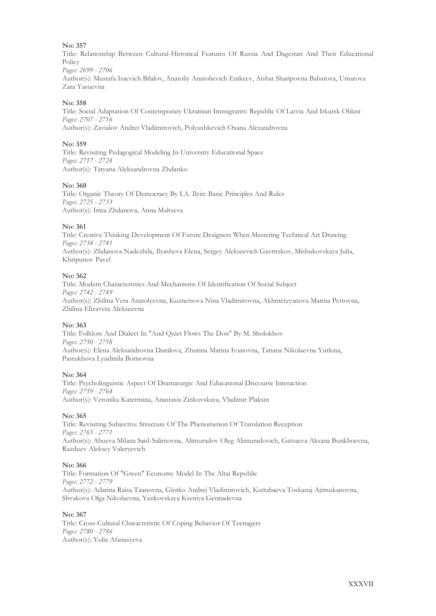Title: Relationship Between Cultural-Historical Features Of Russia And Dagestan And Their Educational Policy *Pages: 2699 - 2706*

Author(s): Mustafa Isaevich Bilalov, Anatoliy Anatolievich Enikeev, Aishat Sharipovna Babatova, Umarova Zara Yasuevna

### **No: 358**

Title: Social Adaptation Of Contemporary Ukrainian Immigrants: Republic Of Latvia And Irkutsk Oblast *Pages: 2707 - 2716* Author(s): Zavialov Andrei Vladimirovich, Polyushkevich Oxana Alexandrovna

### **No: 359**

Title: Revisiting Pedagogical Modeling In University Educational Space *Pages: 2717 - 2724* Author(s): Tatyana Aleksandrovna Zhdanko

### **No: 360**

Title: Organic Theory Of Democracy By I.A. Ilyin: Basic Principles And Rules *Pages: 2725 - 2733* Author(s): Irina Zhdanova, Anna Maltseva

### **No: 361**

Title: Creative Thinking Development Of Future Designers When Mastering Technical Art Drawing *Pages: 2734 - 2741* Author(s): Zhdanova Nadezhda, Ilyasheva Elena, Sergey Alekseevich Gavritskov, Mishukovskaya Julia, Khripunov Pavel

### **No: 362**

Title: Modern Characteristics And Mechanisms Of Identification Of Social Subject *Pages: 2742 - 2749* Author(s): Zhilina Vera Anatolyevna, Kuznetsova Nina Vladimirovna, Akhmetzyanova Marina Petrovna, Zhilina Elizaveta Alekseevna

### **No: 363**

Title: Folklore And Dialect In "And Quiet Flows The Don" By M. Sholokhov *Pages: 2750 - 2758* Author(s): Elena Aleksandrovna Danilova, Zhurina Marina Ivanovna, Tatiana Nikolaevna Yurkina, Pastukhova Lyudmila Borisovna

### **No: 364**

Title: Psycholinguistic Aspect Of Dramaturgic And Educational Discourse Interaction *Pages: 2759 - 2764* Author(s): Veronika Katermina, Anastasia Zinkovskaya, Vladimir Plaksin

### **No: 365**

Title: Revisiting Subjective Structure Of The Phenomenon Of Translation Reception *Pages: 2765 - 2771* Author(s): Abueva Milana Said-Salimovna, Alimuradov Oleg Alimuradovich, Gatsaeva Aksana Bunkhoevna, Razduev Aleksey Valeryevich

### **No: 366**

Title: Formation Of "Green" Economy Model In The Altai Republic *Pages: 2772 - 2779* Author(s): Adarina Raisa Taanovna, Glotko Andrej Vladimirovich, Kuttabaeva Toskanaj Ajtmukanovna, Shvakova Olga Nikolaevna, Yankovskaya Kseniya Gennadevna

### **No: 367**

Title: Cross-Cultural Characteristic Of Coping Behavior Of Teenagers *Pages: 2780 - 2786* Author(s): Yulia Afanasyeva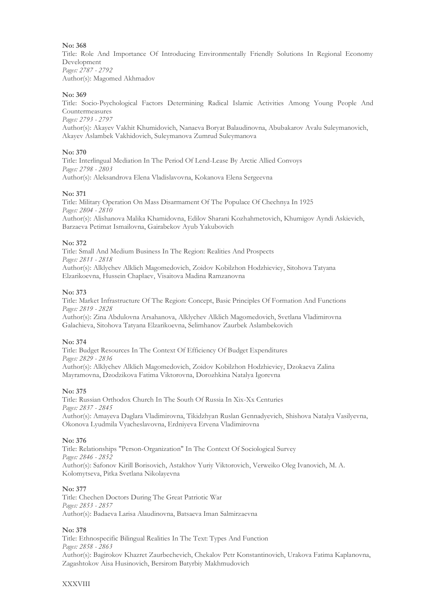Title: Role And Importance Of Introducing Environmentally Friendly Solutions In Regional Economy Development *Pages: 2787 - 2792* Author(s): Magomed Akhmadov

### **No: 369**

Title: Socio-Psychological Factors Determining Radical Islamic Activities Among Young People And Countermeasures

*Pages: 2793 - 2797*

Author(s): Akayev Vakhit Khumidovich, Nanaeva Boryat Balaudinovna, Abubakarov Avalu Suleymanovich, Akayev Aslambek Vakhidovich, Suleymanova Zumrud Suleymanova

### **No: 370**

Title: Interlingual Mediation In The Period Of Lend-Lease By Arctic Allied Convoys *Pages: 2798 - 2803* Author(s): Aleksandrova Elena Vladislavovna, Kokanova Elena Sergeevna

### **No: 371**

Title: Military Operation On Mass Disarmament Of The Populace Of Chechnya In 1925 *Pages: 2804 - 2810* Author(s): Alishanova Malika Khamidovna, Edilov Sharani Kozhahmetovich, Khumigov Ayndi Askievich, Barzaeva Petimat Ismailovna, Gairabekov Ayub Yakubovich

### **No: 372**

Title: Small And Medium Business In The Region: Realities And Prospects *Pages: 2811 - 2818* Author(s): Alklychev Alklich Magomedovich, Zoidov Kobilzhon Hodzhievicy, Sitohova Tatyana Elzarikoevna, Hussein Chaplaev, Visaitova Madina Ramzanovna

### **No: 373**

Title: Market Infrastructure Of The Region: Concept, Basic Principles Of Formation And Functions *Pages: 2819 - 2828*

Author(s): Zina Abdulovna Arsahanova, Alklychev Alklich Magomedovich, Svetlana Vladimirovna Galachieva, Sitohova Tatyana Elzarikoevna, Selimhanov Zaurbek Aslambekovich

### **No: 374**

Title: Budget Resources In The Context Of Efficiency Of Budget Expenditures *Pages: 2829 - 2836* Author(s): Alklychev Alklich Magomedovich, Zoidov Kobilzhon Hodzhievicy, Dzokaeva Zalina Mayramovna, Dzodzikova Fatima Viktorovna, Dorozhkina Natalya Igorevna

### **No: 375**

Title: Russian Orthodox Church In The South Of Russia In Xix-Xx Centuries *Pages: 2837 - 2845* Author(s): Amayeva Daglara Vladimirovna, Tikidzhyan Ruslan Gennadyevich, Shishova Natalya Vasilyevna, Okonova Lyudmila Vyacheslavovna, Erdniyeva Ervena Vladimirovna

### **No: 376**

Title: Relationships "Person-Organization" In The Context Of Sociological Survey *Pages: 2846 - 2852* Author(s): Safonov Kirill Borisovich, Astakhov Yuriy Viktorovich, Verweiko Oleg Ivanovich, M. A. Kolomytseva, Pitka Svetlana Nikolayevna

### **No: 377**

Title: Chechen Doctors During The Great Patriotic War *Pages: 2853 - 2857* Author(s): Badaeva Larisa Alaudinovna, Batsaeva Iman Salmirzaevna

### **No: 378**

Title: Ethnospecific Bilingual Realities In The Text: Types And Function *Pages: 2858 - 2863*

Author(s): Bagirokov Khazret Zaurbechevich, Chekalov Petr Konstantinovich, Urakova Fatima Kaplanovna, Zagashtokov Aisa Husinovich, Bersirom Batyrbiy Makhmudovich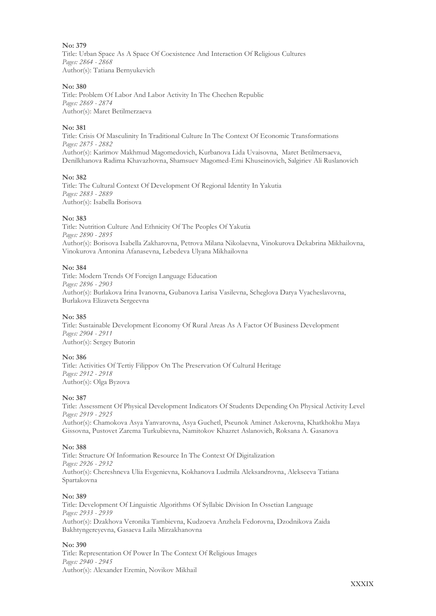Title: Urban Space As A Space Of Coexistence And Interaction Of Religious Cultures *Pages: 2864 - 2868* Author(s): Tatiana Bernyukevich

### **No: 380**

Title: Problem Of Labor And Labor Activity In The Chechen Republic *Pages: 2869 - 2874* Author(s): Maret Betilmerzaeva

### **No: 381**

Title: Crisis Of Masculinity In Traditional Culture In The Context Of Economic Transformations *Pages: 2875 - 2882* Author(s): Karimov Makhmud Magomedovich, Kurbanova Lida Uvaisovna, Maret Betilmersaeva, Denilkhanova Radima Khavazhovna, Shamsuev Magomed-Emi Khuseinovich, Salgiriev Ali Ruslanovich

### **No: 382**

Title: The Cultural Context Of Development Of Regional Identity In Yakutia *Pages: 2883 - 2889* Author(s): Isabella Borisova

### **No: 383**

Title: Nutrition Culture And Ethnicity Of The Peoples Of Yakutia *Pages: 2890 - 2895* Author(s): Borisova Isabella Zakharovna, Petrova Milana Nikolaevna, Vinokurova Dekabrina Mikhailovna, Vinokurova Antonina Afanasevna, Lebedeva Ulyana Mikhailovna

### **No: 384**

Title: Modern Trends Of Foreign Language Education *Pages: 2896 - 2903* Author(s): Burlakova Irina Ivanovna, Gubanova Larisa Vasilevna, Scheglova Darya Vyacheslavovna, Burlakova Elizaveta Sergeevna

### **No: 385**

Title: Sustainable Development Economy Of Rural Areas As A Factor Of Business Development *Pages: 2904 - 2911* Author(s): Sergey Butorin

### **No: 386**

Title: Activities Of Tertiy Filippov On The Preservation Of Cultural Heritage *Pages: 2912 - 2918* Author(s): Olga Byzova

### **No: 387**

Title: Assessment Of Physical Development Indicators Of Students Depending On Physical Activity Level *Pages: 2919 - 2925* Author(s): Chamokova Asya Yanvarovna, Asya Guchetl, Pseunok Aminet Askerovna, Khatkhokhu Maya

### **No: 388**

Title: Structure Of Information Resource In The Context Of Digitalization *Pages: 2926 - 2932* Author(s): Chereshneva Ulia Evgenievna, Kokhanova Ludmila Aleksandrovna, Alekseeva Tatiana Spartakovna

Gissovna, Pustovet Zarema Turkubievna, Namitokov Khazret Aslanovich, Roksana A. Gasanova

### **No: 389**

Title: Development Of Linguistic Algorithms Of Syllabic Division In Ossetian Language *Pages: 2933 - 2939* Author(s): Dzakhova Veronika Tambievna, Kudzoeva Anzhela Fedorovna, Dzodnikova Zaida Bakhtyngereyevna, Gasaeva Laila Mirzakhanovna

### **No: 390**

Title: Representation Of Power In The Context Of Religious Images *Pages: 2940 - 2945* Author(s): Alexander Eremin, Novikov Mikhail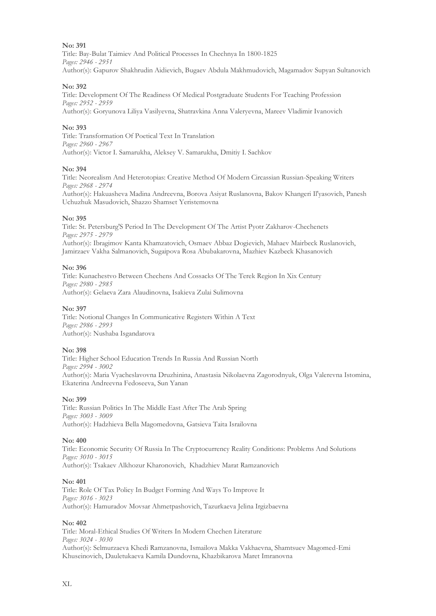Title: Bay-Bulat Taimiev And Political Processes In Chechnya In 1800-1825 *Pages: 2946 - 2951* Author(s): Gapurov Shakhrudin Aidievich, Bugaev Abdula Makhmudovich, Magamadov Supyan Sultanovich

### **No: 392**

Title: Development Of The Readiness Of Medical Postgraduate Students For Teaching Profession *Pages: 2952 - 2959*

Author(s): Goryunova Liliya Vasilyevna, Shatravkina Anna Valeryevna, Mareev Vladimir Ivanovich

### **No: 393**

Title: Transformation Of Poetical Text In Translation *Pages: 2960 - 2967* Author(s): Victor I. Samarukha, Aleksey V. Samarukha, Dmitiy I. Sachkov

### **No: 394**

Title: Neorealism And Heterotopias: Creative Method Of Modern Circassian Russian-Speaking Writers *Pages: 2968 - 2974*

Author(s): Hakuasheva Madina Andreevna, Borova Asiyat Ruslanovna, Bakov Khangeri Il'yasovich, Panesh Uchuzhuk Masudovich, Shazzo Shamset Yeristemovna

### **No: 395**

Title: St. Petersburg'S Period In The Development Of The Artist Pyotr Zakharov-Chechenets *Pages: 2975 - 2979* Author(s): Ibragimov Kanta Khamzatovich, Osmaev Abbaz Dogievich, Mahaev Mairbeck Ruslanovich, Jamirzaev Vakha Salmanovich, Sugaipova Rosa Abubakarovna, Mazhiev Kazbeck Khasanovich

### **No: 396**

Title: Kunachestvo Between Chechens And Cossacks Of The Terek Region In Xix Century *Pages: 2980 - 2985* Author(s): Gelaeva Zara Alaudinovna, Isakieva Zulai Sulimovna

### **No: 397**

Title: Notional Changes In Communicative Registers Within A Text *Pages: 2986 - 2993* Author(s): Nushaba Isgandarova

### **No: 398**

Title: Higher School Education Trends In Russia And Russian North *Pages: 2994 - 3002* Author(s): Maria Vyacheslavovna Druzhinina, Anastasia Nikolaevna Zagorodnyuk, Olga Valerevna Istomina, Ekaterina Andreevna Fedoseeva, Sun Yanan

### **No: 399**

Title: Russian Politics In The Middle East After The Arab Spring *Pages: 3003 - 3009* Author(s): Hadzhieva Bella Magomedovna, Gatsieva Taita Israilovna

### **No: 400**

Title: Economic Security Of Russia In The Cryptocurrency Reality Conditions: Problems And Solutions *Pages: 3010 - 3015* Author(s): Tsakaev Alkhozur Kharonovich, Khadzhiev Marat Ramzanovich

### **No: 401**

Title: Role Of Tax Policy In Budget Forming And Ways To Improve It *Pages: 3016 - 3023* Author(s): Hamuradov Movsar Ahmetpashovich, Tazurkaeva Jelina Irgizbaevna

### **No: 402**

Title: Moral-Ethical Studies Of Writers In Modern Chechen Literature *Pages: 3024 - 3030* Author(s): Selmurzaeva Khedi Ramzanovna, Ismailova Makka Vakhaevna, Shamtsuev Magomed-Emi Khuseinovich, Dauletukaeva Kamila Dundovna, Khazbikarova Maret Imranovna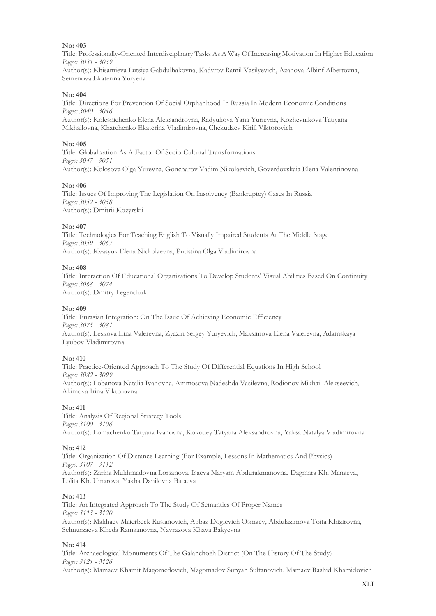Title: Professionally-Oriented Interdisciplinary Tasks As A Way Of Increasing Motivation In Higher Education *Pages: 3031 - 3039* Author(s): Khisamieva Lutsiya Gabdulhakovna, Kadyrov Ramil Vasilyevich, Azanova Albinf Albertovna, Semenova Ekaterina Yuryena

### **No: 404**

Title: Directions For Prevention Of Social Orphanhood In Russia In Modern Economic Conditions *Pages: 3040 - 3046*

Author(s): Kolesnichenko Elena Aleksandrovna, Radyukova Yana Yurievna, Kozhevnikova Tatiyana Mikhailovna, Kharchenko Ekaterina Vladimirovna, Chekudaev Kirill Viktorovich

### **No: 405**

Title: Globalization As A Factor Of Socio-Cultural Transformations *Pages: 3047 - 3051* Author(s): Kolosova Olga Yurevna, Goncharov Vadim Nikolaevich, Goverdovskaia Elena Valentinovna

### **No: 406**

Title: Issues Of Improving The Legislation On Insolvency (Bankruptcy) Cases In Russia *Pages: 3052 - 3058* Author(s): Dmitrii Kozyrskii

### **No: 407**

Title: Technologies For Teaching English To Visually Impaired Students At The Middle Stage *Pages: 3059 - 3067* Author(s): Kvasyuk Elena Nickolaevna, Putistina Olga Vladimirovna

### **No: 408**

Title: Interaction Of Educational Organizations To Develop Students' Visual Abilities Based On Continuity *Pages: 3068 - 3074* Author(s): Dmitry Legenchuk

### **No: 409**

Title: Eurasian Integration: On The Issue Of Achieving Economic Efficiency *Pages: 3075 - 3081* Author(s): Leskova Irina Valerevna, Zyazin Sergey Yuryevich, Maksimova Elena Valerevna, Adamskaya Lyubov Vladimirovna

### **No: 410**

Title: Practice-Oriented Approach To The Study Of Differential Equations In High School *Pages: 3082 - 3099* Author(s): Lobanova Natalia Ivanovna, Ammosova Nadeshda Vasilevna, Rodionov Mikhail Alekseevich, Akimova Irina Viktorovna

### **No: 411**

Title: Analysis Of Regional Strategy Tools *Pages: 3100 - 3106* Author(s): Lomachenko Tatyana Ivanovna, Kokodey Tatyana Aleksandrovna, Yaksa Natalya Vladimirovna

### **No: 412**

Title: Organization Of Distance Learning (For Example, Lessons In Mathematics And Physics) *Pages: 3107 - 3112* Author(s): Zarina Mukhmadovna Lorsanova, Isaeva Maryam Abdurakmanovna, Dagmara Kh. Manaeva, Lolita Kh. Umarova, Yakha Danilovna Bataeva

### **No: 413**

Title: An Integrated Approach To The Study Of Semantics Of Proper Names *Pages: 3113 - 3120* Author(s): Makhaev Maierbeck Ruslanovich, Abbaz Dogievich Osmaev, Abdulazimova Toita Khizirovna, Selmurzaeva Kheda Ramzanovna, Navrazova Khava Bakyevna

### **No: 414**

Title: Archaeological Monuments Of The Galanchozh District (On The History Of The Study) *Pages: 3121 - 3126* Author(s): Mamaev Khamit Magomedovich, Magomadov Supyan Sultanovich, Mamaev Rashid Khamidovich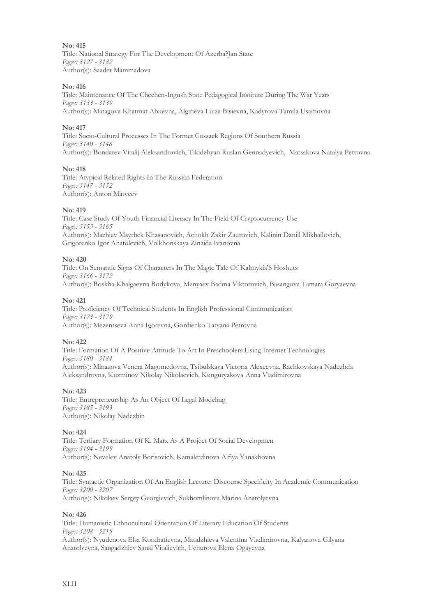Title: National Strategy For The Development Of Azerba?Jan State *Pages: 3127 - 3132* Author(s): Saadet Mammadova

### **No: 416**

Title: Maintenance Of The Chechen-Ingush State Pedagogical Institute During The War Years *Pages: 3133 - 3139* Author(s): Matagova Khatmat Abuevna, Algirieva Luiza Bisievna, Kadyrova Tamila Usamovna

### **No: 417**

Title: Socio-Cultural Processes In The Former Cossack Regions Of Southern Russia *Pages: 3140 - 3146* Author(s): Bondarev Vitalij Aleksandrovich, Tikidzhyan Ruslan Gennadyevich, Matsakova Natalya Petrovna

### **No: 418**

Title: Atypical Related Rights In The Russian Federation *Pages: 3147 - 3152* Author(s): Anton Matveev

### **No: 419**

Title: Case Study Of Youth Financial Literacy In The Field Of Cryptocurrency Use *Pages: 3153 - 3165* Author(s): Mazhiev Mayrbek Khasanovich, Achokh Zakir Zaurovich, Kalinin Daniil Mikhailovich, Grigorenko Igor Anatolevich, Volkhonskaya Zinaida Ivanovna

### **No: 420**

Title: On Semantic Signs Of Characters In The Magic Tale Of Kalmykia'S Hoshuts *Pages: 3166 - 3172* Author(s): Boskha Khalgaevna Borlykova, Menyaev Badma Viktorovich, Basangova Tamara Goryaevna

### **No: 421**

Title: Proficiency Of Technical Students In English Professional Communication *Pages: 3173 - 3179* Author(s): Mezentseva Anna Igorevna, Gordienko Tatyana Petrovna

### **No: 422**

Title: Formation Of A Positive Attitude To Art In Preschoolers Using Internet Technologies *Pages: 3180 - 3184* Author(s): Minazova Venera Magomedovna, Tsibulskaya Victoria Alexeevna, Rachkovskaya Nadezhda Aleksandrovna, Kuzminov Nikolay Nikolaevich, Kunguryakova Anna Vladimirovna

### **No: 423**

Title: Entrepreneurship As An Object Of Legal Modeling *Pages: 3185 - 3193* Author(s): Nikolay Nadezhin

### **No: 424**

Title: Tertiary Formation Of K. Marx As A Project Of Social Developmen *Pages: 3194 - 3199* Author(s): Nevelev Anatoly Borisovich, Kamaletdinova Alfiya Yanakhovna

### **No: 425**

Title: Syntactic Organization Of An English Lecture: Discourse Specificity In Academic Communication *Pages: 3200 - 3207* Author(s): Nikolaev Sergey Georgievich, Sukhomlinova Marina Anatolyevna

### **No: 426**

Title: Humanistic Ethnocultural Orientation Of Literary Education Of Students *Pages: 3208 - 3215* Author(s): Nyudenova Elsa Kondratievna, Mandzhieva Valentina Vladimirovna, Kalyanova Gilyana Anatolyevna, Sangadzhiev Sanal Vitalievich, Uchurova Elena Ogayevna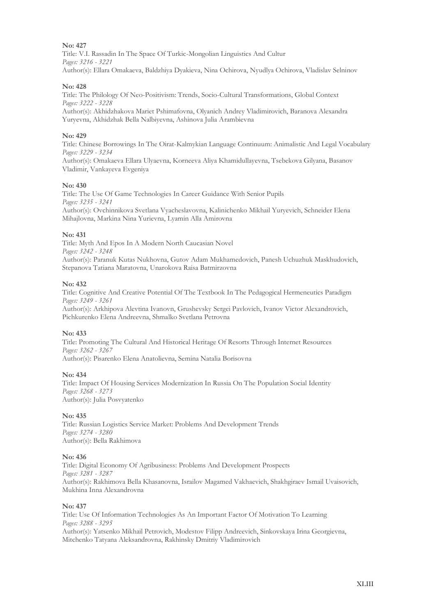Title: V.I. Rassadin In The Space Of Turkic-Mongolian Linguistics And Cultur *Pages: 3216 - 3221* Author(s): Ellara Omakaeva, Baldzhiya Dyakieva, Nina Ochirova, Nyudlya Ochirova, Vladislav Selninov

### **No: 428**

Title: The Philology Of Neo-Positivism: Trends, Socio-Cultural Transformations, Global Context *Pages: 3222 - 3228*

Author(s): Akhidzhakova Mariet Pshimafovna, Olyanich Andrey Vladimirovich, Baranova Alexandra Yuryevna, Akhidzhak Bella Nalbiyevna, Ashinova Julia Arambievnа

### **No: 429**

Title: Chinese Borrowings In The Oirat-Kalmykian Language Continuum: Animalistic And Legal Vocabulary *Pages: 3229 - 3234*

Author(s): Omakaeva Ellara Ulyaevna, Korneeva Aliya Khamidullayevna, Tsebekova Gilyana, Basanov Vladimir, Vankayeva Evgeniya

### **No: 430**

Title: The Use Of Game Technologies In Career Guidance With Senior Pupils *Pages: 3235 - 3241* Author(s): Ovchinnikova Svetlana Vyacheslavovna, Kalinichenko Mikhail Yuryevich, Schneider Elena Mihajlovna, Markina Nina Yurievna, Lyamin Alla Amirovna

### **No: 431**

Title: Myth And Epos In A Modern North Caucasian Novel *Pages: 3242 - 3248* Author(s): Paranuk Kutas Nukhovna, Gutov Adam Mukhamedovich, Panesh Uchuzhuk Maskhudovich, Stepanova Tatiana Maratovna, Unarokova Raisa Batmirzovna

### **No: 432**

Title: Cognitive And Creative Potential Of The Textbook In The Pedagogical Hermeneutics Paradigm *Pages: 3249 - 3261*

Author(s): Arkhipova Alevtina Ivanovn, Grushevsky Sergei Pavlovich, Ivanov Victor Alexandrovich, Pichkurenko Elena Andreevna, Shmalko Svetlana Petrovna

### **No: 433**

Title: Promoting The Cultural And Historical Heritage Of Resorts Through Internet Resources *Pages: 3262 - 3267* Author(s): Pisarenko Elena Anatolievna, Semina Natalia Borisovna

**No: 434**

Title: Impact Of Housing Services Modernization In Russia On The Population Social Identity *Pages: 3268 - 3273* Author(s): Julia Posvyatenko

### **No: 435**

Title: Russian Logistics Service Market: Problems And Development Trends *Pages: 3274 - 3280* Author(s): Bella Rakhimova

### **No: 436**

Title: Digital Economy Of Agribusiness: Problems And Development Prospects *Pages: 3281 - 3287* Author(s): Rakhimova Bella Khasanovna, Israilov Magamed Vakhaevich, Shakhgiraev Ismail Uvaisovich, Mukhina Inna Alexandrovna

### **No: 437**

Title: Use Of Information Technologies As An Important Factor Of Motivation To Learning *Pages: 3288 - 3295* Author(s): Yatsenko Mikhail Petrovich, Modestov Filipp Andreevich, Sinkovskaya Irina Georgievna, Mitchenko Tatyana Aleksandrovna, Rakhinsky Dmitriy Vladimirovich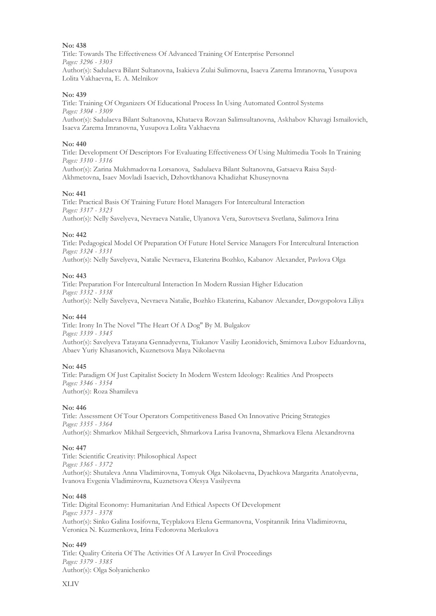Title: Towards The Effectiveness Of Advanced Training Of Enterprise Personnel *Pages: 3296 - 3303* Author(s): Sadulaeva Bilant Sultanovna, Isakieva Zulai Sulimovna, Isaeva Zarema Imranovna, Yusupova Lolita Vakhaevna, E. A. Melnikov

### **No: 439**

Title: Training Of Organizers Of Educational Process In Using Automated Control Systems *Pages: 3304 - 3309* Author(s): Sadulaeva Bilant Sultanovna, Khataeva Rovzan Salimsultanovna, Askhabov Khavagi Ismailovich, Isaeva Zarema Imranovna, Yusupova Lolita Vakhaevna

### **No: 440**

Title: Development Of Descriptors For Evaluating Effectiveness Of Using Multimedia Tools In Training *Pages: 3310 - 3316*

Author(s): Zarina Mukhmadovna Lorsanova, Sadulaeva Bilant Sultanovna, Gatsaeva Raisa Sayd-Akhmetovna, Isaev Movladi Isaevich, Dzhovtkhanova Khadizhat Khuseynovna

### **No: 441**

Title: Practical Basis Of Training Future Hotel Managers For Intercultural Interaction *Pages: 3317 - 3323* Author(s): Nelly Savelyeva, Nevraeva Natalie, Ulyanova Vera, Surovtseva Svetlana, Salimova Irina

### **No: 442**

Title: Pedagogical Model Of Preparation Of Future Hotel Service Managers For Intercultural Interaction *Pages: 3324 - 3331*

Author(s): Nelly Savelyeva, Natalie Nevraeva, Ekaterina Bozhko, Kabanov Alexander, Pavlova Olga

### **No: 443**

Title: Preparation For Intercultural Interaction In Modern Russian Higher Education *Pages: 3332 - 3338* Author(s): Nelly Savelyeva, Nevraeva Natalie, Bozhko Ekaterina, Kabanov Alexander, Dovgopolova Liliya

### **No: 444**

Title: Irony In The Novel "The Heart Of A Dog" By M. Bulgakov *Pages: 3339 - 3345* Author(s): Savelyeva Tatayana Gennadyevna, Tiukanov Vasiliy Leonidovich, Smirnova Lubov Eduardovna, Abaev Yuriy Khasanovich, Kuznetsova Maya Nikolaevna

### **No: 445**

Title: Paradigm Of Just Capitalist Society In Modern Western Ideology: Realities And Prospects *Pages: 3346 - 3354* Author(s): Roza Shamileva

### **No: 446**

Title: Assessment Of Tour Operators Competitiveness Based On Innovative Pricing Strategies *Pages: 3355 - 3364* Author(s): Shmarkov Mikhail Sergeevich, Shmarkova Larisa Ivanovna, Shmarkova Elena Alexandrovna

### **No: 447**

Title: Scientific Creativity: Philosophical Aspect *Pages: 3365 - 3372* Author(s): Shutaleva Anna Vladimirovna, Tomyuk Olga Nikolaevna, Dyachkova Margarita Anatolyevna, Ivanova Evgenia Vladimirovna, Kuznetsova Olesya Vasilyevna

### **No: 448**

Title: Digital Economy: Humanitarian And Ethical Aspects Of Development *Pages: 3373 - 3378* Author(s): Sinko Galina Iosifovna, Tcyplakova Elena Germanovna, Vospitannik Irina Vladimirovna, Veronica N. Kuzmenkova, Irina Fedorovna Merkulova

### **No: 449**

Title: Quality Criteria Of The Activities Of A Lawyer In Civil Proceedings *Pages: 3379 - 3385* Author(s): Olga Solyanichenko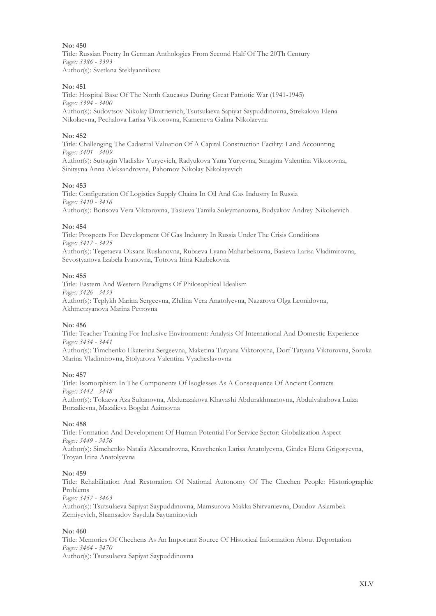Title: Russian Poetry In German Anthologies From Second Half Of The 20Th Century *Pages: 3386 - 3393* Author(s): Svetlana Steklyannikova

### **No: 451**

Title: Hospital Base Of The North Caucasus During Great Patriotic War (1941-1945) *Pages: 3394 - 3400* Author(s): Sudovtsov Nikolay Dmitrievich, Tsutsulaeva Sapiyat Saypuddinovna, Strekalova Elena Nikolaevna, Pechalova Larisa Viktorovna, Kameneva Galina Nikolaevna

### **No: 452**

Title: Challenging The Cadastral Valuation Of A Capital Construction Facility: Land Accounting *Pages: 3401 - 3409* Author(s): Sutyagin Vladislav Yuryevich, Radyukova Yana Yuryevna, Smagina Valentina Viktorovna, Sinitsyna Anna Aleksandrovna, Pahomov Nikolay Nikolayevich

### **No: 453**

Title: Configuration Of Logistics Supply Chains In Oil And Gas Industry In Russia *Pages: 3410 - 3416* Author(s): Borisova Vera Viktorovna, Tasueva Tamila Suleymanovna, Budyakov Andrey Nikolaevich

### **No: 454**

Title: Prospects For Development Of Gas Industry In Russia Under The Crisis Conditions *Pages: 3417 - 3425*

Author(s): Tegetaeva Oksana Ruslanovna, Rubaeva Lyana Maharbekovna, Basieva Larisa Vladimirovna, Sevostyanova Izabela Ivanovna, Totrova Irina Kazbekovna

### **No: 455**

Title: Eastern And Western Paradigms Of Philosophical Idealism *Pages: 3426 - 3433* Author(s): Teplykh Marina Sergeevna, Zhilina Vera Anatolyevna, Nazarova Olga Leonidovna, Akhmetzyanova Marina Petrovna

### **No: 456**

Title: Teacher Training For Inclusive Environment: Analysis Of International And Domestic Experience *Pages: 3434 - 3441*

Author(s): Timchenko Ekaterina Sergeevna, Maketina Tatyana Viktorovna, Dorf Tatyana Viktorovna, Soroka Marina Vladimirovna, Stolyarova Valentina Vyacheslavovna

### **No: 457**

Title: Isomorphism In The Components Of Isoglesses As A Consequence Of Ancient Contacts *Pages: 3442 - 3448* Author(s): Tokaeva Aza Sultanovna, Abdurazakova Khavashi Abdurakhmanovna, Abdulvahabova Luiza

### **No: 458**

Borzalievna, Mazalieva Bogdat Azimovna

Title: Formation And Development Of Human Potential For Service Sector: Globalization Aspect *Pages: 3449 - 3456* Author(s): Simchenko Natalia Alexandrovna, Kravchenko Larisa Anatolyevna, Gindes Elena Grigoryevna, Troyan Irina Anatolyevna

### **No: 459**

Title: Rehabilitation And Restoration Of National Autonomy Of The Chechen People: Historiographic Problems

*Pages: 3457 - 3463*

Author(s): Tsutsulaeva Sapiyat Saypuddinovna, Mamsurova Makka Shirvanievna, Daudov Aslambek Zemiyevich, Shamsadov Saydula Saytaminovich

### **No: 460**

Title: Memories Of Chechens As An Important Source Of Historical Information About Deportation *Pages: 3464 - 3470* Author(s): Tsutsulaeva Sapiyat Saypuddinovna

XLV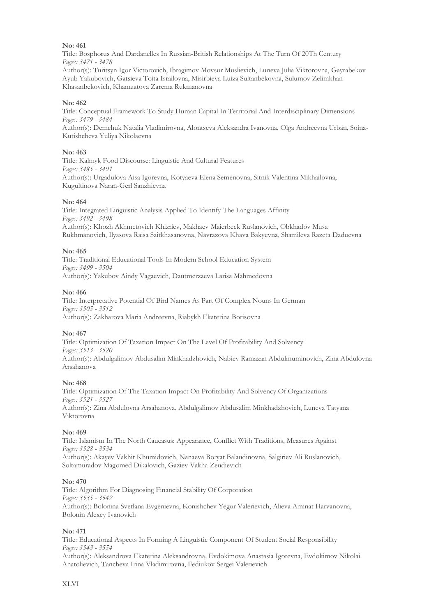Title: Bosphorus And Dardanelles In Russian-British Relationships At The Turn Of 20Th Century *Pages: 3471 - 3478*

Author(s): Turitsyn Igor Victorovich, Ibragimov Movsur Muslievich, Luneva Julia Viktorovna, Gayrabekov Ayub Yakubovich, Gatsieva Toita Israilovna, Misirbieva Luiza Sultanbekovna, Sulumov Zelimkhan Khasanbekovich, Khamzatova Zarema Rukmanovna

### **No: 462**

Title: Conceptual Framework To Study Human Capital In Territorial And Interdisciplinary Dimensions *Pages: 3479 - 3484* Author(s): Demchuk Natalia Vladimirovna, Alontseva Aleksandra Ivanovna, Olga Andreevna Urban, Soina-Kutishcheva Yuliya Nikolaevna

### **No: 463**

Title: Kalmyk Food Discourse: Linguistic And Cultural Features *Pages: 3485 - 3491* Author(s): Urgadulova Aisa Igorevna, Kotyaeva Elena Semenovna, Sitnik Valentina Mikhailovna, Kugultinova Naran-Gerl Sanzhievna

### **No: 464**

Title: Integrated Linguistic Analysis Applied To Identify The Languages Affinity *Pages: 3492 - 3498* Author(s): Khozh Akhmetovich Khizriev, Makhaev Maierbeck Ruslanovich, Obkhadov Musa Rukhmanovich, Ilyasova Raisa Saitkhasanovna, Navrazova Khava Bakyevna, Shamileva Razeta Daduevna

### **No: 465**

Title: Traditional Educational Tools In Modern School Education System *Pages: 3499 - 3504* Author(s): Yakubov Aindy Vagaevich, Dautmerzaeva Larisa Mahmedovna

### **No: 466**

Title: Interpretative Potential Of Bird Names As Part Of Complex Nouns In German *Pages: 3505 - 3512* Author(s): Zakharova Maria Andreevna, Riabykh Ekaterina Borisovna

### **No: 467**

Title: Optimization Of Taxation Impact On The Level Of Profitability And Solvency *Pages: 3513 - 3520* Author(s): Abdulgalimov Abdusalim Minkhadzhovich, Nabiev Ramazan Abdulmuminovich, Zina Abdulovna Arsahanova

### **No: 468**

Title: Optimization Of The Taxation Impact On Profitability And Solvency Of Organizations *Pages: 3521 - 3527* Author(s): Zina Abdulovna Arsahanova, Abdulgalimov Abdusalim Minkhadzhovich, Luneva Tatyana Viktorovna

### **No: 469**

Title: Islamism In The North Caucasus: Appearance, Conflict With Traditions, Measures Against *Pages: 3528 - 3534*

Author(s): Akayev Vakhit Khumidovich, Nanaeva Boryat Balaudinovna, Salgiriev Ali Ruslanovich, Soltamuradov Magomed Dikalovich, Gaziev Vakha Zeudievich

### **No: 470**

Title: Algorithm For Diagnosing Financial Stability Of Corporation *Pages: 3535 - 3542* Author(s): Bolonina Svetlana Evgenievna, Konishchev Yegor Valerievich, Alieva Aminat Harvanovna, Bolonin Alexey Ivanovich

### **No: 471**

Title: Educational Aspects In Forming A Linguistic Component Of Student Social Responsibility *Pages: 3543 - 3554*

Author(s): Aleksandrova Ekaterina Aleksandrovna, Evdokimova Anastasia Igorevna, Evdokimov Nikolai Anatolievich, Tancheva Irina Vladimirovna, Fediukov Sergei Valerievich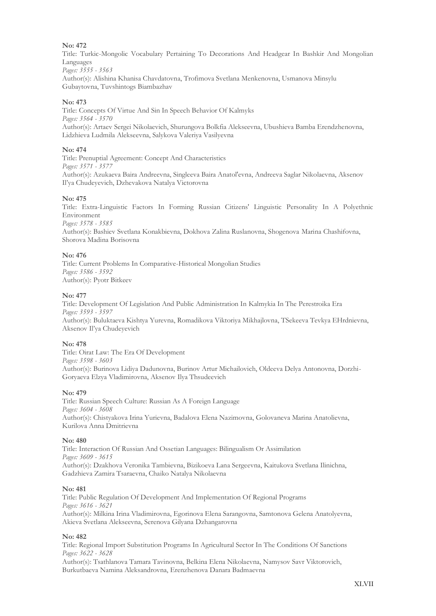Title: Turkic-Mongolic Vocabulary Pertaining To Decorations And Headgear In Bashkir And Mongolian Languages *Pages: 3555 - 3563* Author(s): Alishina Khanisa Chavdatovna, Trofimova Svetlana Menkenovna, Usmanova Minsylu

Gubaytovna, Tuvshintogs Biambazhav

### **No: 473**

Title: Concepts Of Virtue And Sin In Speech Behavior Of Kalmyks *Pages: 3564 - 3570* Author(s): Artaev Sergei Nikolaevich, Shurungova Bolkfia Alekseevna, Ubushieva Bamba Erendzhenovna, Lidzhieva Ludmila Alekseevna, Salykova Valeriya Vasilyevna

### **No: 474**

Title: Prenuptial Agreement: Concept And Characteristics *Pages: 3571 - 3577* Author(s): Azukaeva Baira Andreevna, Singleeva Baira Anatol'evna, Andreeva Saglar Nikolaevna, Aksenov Il'ya Chudeyevich, Dzhevakova Natalya Victorovna

### **No: 475**

Title: Extra-Linguistic Factors In Forming Russian Citizens' Linguistic Personality In A Polyethnic Environment *Pages: 3578 - 3585*

Author(s): Bashiev Svetlana Konakbievna, Dokhova Zalina Ruslanovna, Shogenova Marina Chashifovna, Shorova Madina Borisovna

### **No: 476**

Title: Current Problems In Comparative-Historical Mongolian Studies *Pages: 3586 - 3592* Author(s): Pyotr Bitkeev

### **No: 477**

Title: Development Of Legislation And Public Administration In Kalmykia In The Perestroika Era *Pages: 3593 - 3597* Author(s): Buluktaeva Kishtya Yurevna, Romadikova Viktoriya Mikhajlovna, TSekeeva Tevkya EHrdnievna, Aksenov Il'ya Chudeyevich

### **No: 478**

Title: Oirat Law: The Era Of Development *Pages: 3598 - 3603* Author(s): Burinova Lidiya Dadunovna, Burinov Artur Michailovich, Oldeeva Delya Antonovna, Dorzhi-Goryaeva Elzya Vladimirovna, Aksenov Ilya Thsudeevich

### **No: 479**

Title: Russian Speech Culture: Russian As A Foreign Language *Pages: 3604 - 3608* Author(s): Chistyakova Irina Yurievna, Badalova Elena Nazimovna, Golovaneva Marina Anatolievna, Kurilova Anna Dmitrievna

### **No: 480**

Title: Interaction Of Russian And Ossetian Languages: Bilingualism Or Assimilation *Pages: 3609 - 3615* Author(s): Dzakhova Veronika Tambievna, Bizikoeva Lana Sergeevna, Kaitukova Svetlana Ilinichna, Gadzhieva Zamira Tsaraevna, Chaiko Natalya Nikolaevna

### **No: 481**

Title: Public Regulation Of Development And Implementation Of Regional Programs *Pages: 3616 - 3621* Author(s): Milkina Irina Vladimirovna, Egorinova Elena Sarangovna, Samtonova Gelena Anatolyevna, Akieva Svetlana Alekseevna, Serenova Gilyana Dzhangarovna

### **No: 482**

Title: Regional Import Substitution Programs In Agricultural Sector In The Conditions Of Sanctions *Pages: 3622 - 3628*

Author(s): Tsathlanova Tamara Tavinovna, Belkina Elena Nikolaevna, Namysov Savr Viktorovich, Burkutbaeva Namina Aleksandrovna, Erenzhenova Danara Badmaevna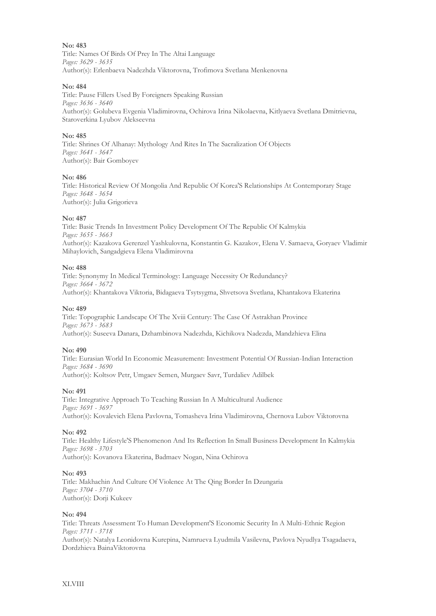Title: Names Of Birds Of Prey In The Altai Language *Pages: 3629 - 3635* Author(s): Erlenbaeva Nadezhda Viktorovna, Trofimova Svetlana Menkenovna

### **No: 484**

Title: Pause Fillers Used By Foreigners Speaking Russian *Pages: 3636 - 3640* Author(s): Golubeva Evgenia Vladimirovna, Ochirova Irina Nikolaevna, Kitlyaeva Svetlana Dmitrievna, Staroverkina Lyubov Alekseevna

### **No: 485**

Title: Shrines Of Alhanay: Mythology And Rites In The Sacralization Of Objects *Pages: 3641 - 3647* Author(s): Bair Gomboyev

### **No: 486**

Title: Historical Review Of Mongolia And Republic Of Korea'S Relationships At Contemporary Stage *Pages: 3648 - 3654* Author(s): Julia Grigorieva

### **No: 487**

Title: Basic Trends In Investment Policy Development Of The Republic Of Kalmykia *Pages: 3655 - 3663* Author(s): Kazakova Gerenzel Yashkulovna, Konstantin G. Kazakov, Elena V. Samaeva, Goryaev Vladimir Mihaylovich, Sangadgieva Elena Vladimirovna

### **No: 488**

Title: Synonymy In Medical Terminology: Language Necessity Or Redundancy? *Pages: 3664 - 3672* Author(s): Khantakova Viktoria, Bidagaeva Tsytsygma, Shvetsova Svetlana, Khantakova Ekaterina

### **No: 489**

Title: Topographic Landscape Of The Xviii Century: The Case Of Astrakhan Province *Pages: 3673 - 3683* Author(s): Suseeva Danara, Dzhambinova Nadezhda, Kichikova Nadezda, Mandzhieva Elina

### **No: 490**

Title: Eurasian World In Economic Measurement: Investment Potential Of Russian-Indian Interaction *Pages: 3684 - 3690* Author(s): Koltsov Petr, Umgaev Semen, Murgaev Savr, Turdaliev Adilbek

### **No: 491**

Title: Integrative Approach To Teaching Russian In A Multicultural Audience *Pages: 3691 - 3697* Author(s): Kovalevich Elena Pavlovna, Tomasheva Irina Vladimirovna, Chernova Lubov Viktorovna

### **No: 492**

Title: Healthy Lifestyle'S Phenomenon And Its Reflection In Small Business Development In Kalmykia *Pages: 3698 - 3703* Author(s): Kovanova Ekaterina, Badmaev Nogan, Nina Ochirova

### **No: 493**

Title: Makhachin And Culture Of Violence At The Qing Border In Dzungaria *Pages: 3704 - 3710* Author(s): Dorji Kukeev

### **No: 494**

Title: Threats Assessment To Human Development'S Economic Security In A Multi-Ethnic Region *Pages: 3711 - 3718* Author(s): Natalya Leonidovna Kurepina, Namrueva Lyudmila Vasilevna, Pavlova Nyudlya Tsagadaeva, Dordzhieva BainaViktorovna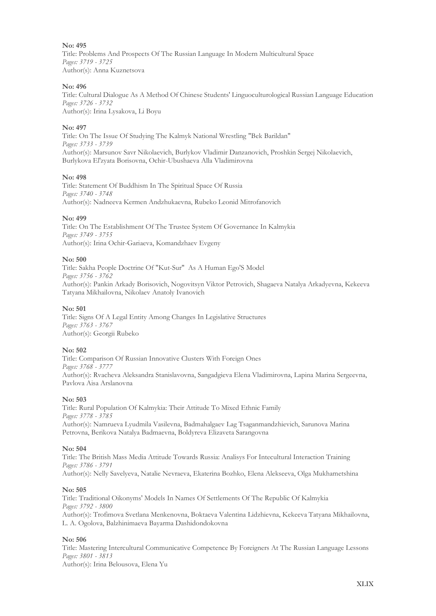Title: Problems And Prospects Of The Russian Language In Modern Multicultural Space *Pages: 3719 - 3725* Author(s): Anna Kuznetsova

### **No: 496**

Title: Cultural Dialogue As A Method Of Chinese Students' Linguoculturological Russian Language Education *Pages: 3726 - 3732* Author(s): Irina Lysakova, Li Boyu

### **No: 497**

Title: On The Issue Of Studying The Kalmyk National Wrestling "Bek Barildan" *Pages: 3733 - 3739* Author(s): Marsunov Savr Nikolaevich, Burlykov Vladimir Danzanovich, Proshkin Sergej Nikolaevich, Burlykova El'zyata Borisovna, Ochir-Ubushaeva Alla Vladimirovna

### **No: 498**

Title: Statement Of Buddhism In The Spiritual Space Of Russia *Pages: 3740 - 3748* Author(s): Nadneeva Kermen Andzhukaevna, Rubeko Leonid Mitrofanovich

### **No: 499**

Title: On The Establishment Of The Trustee System Of Governance In Kalmykia *Pages: 3749 - 3755* Author(s): Irina Ochir-Gariaeva, Komandzhaev Evgeny

### **No: 500**

Title: Sakha People Doctrine Of "Kut-Sur" As A Human Ego'S Model *Pages: 3756 - 3762* Author(s): Pankin Arkady Borisovich, Nogovitsyn Viktor Petrovich, Shagaeva Natalya Arkadyevna, Kekeeva Tatyana Mikhailovna, Nikolaev Anatoly Ivanovich

### **No: 501**

Title: Signs Of A Legal Entity Among Changes In Legislative Structures *Pages: 3763 - 3767* Author(s): Georgii Rubeko

### **No: 502**

Title: Comparison Of Russian Innovative Clusters With Foreign Ones *Pages: 3768 - 3777* Author(s): Rvacheva Aleksandra Stanislavovna, Sangadgieva Elena Vladimirovna, Lapina Marina Sergeevna, Pavlova Aisa Arslanovna

### **No: 503**

Title: Rural Population Of Kalmykia: Their Attitude To Mixed Ethnic Family *Pages: 3778 - 3785* Author(s): Namrueva Lyudmila Vasilevna, Badmahalgaev Lag Tsaganmandzhievich, Sarunova Marina Petrovna, Berikova Natalya Badmaevna, Boldyreva Elizaveta Sarangovna

### **No: 504**

Title: The British Mass Media Attitude Towards Russia: Analisys For Intecultural Interaction Training *Pages: 3786 - 3791* Author(s): Nelly Savelyeva, Natalie Nevraeva, Ekaterina Bozhko, Elena Alekseeva, Olga Mukhametshina

### **No: 505**

Title: Traditional Oikonyms' Models In Names Of Settlements Of The Republic Of Kalmykia *Pages: 3792 - 3800* Author(s): Trofimova Svetlana Menkenovna, Boktaeva Valentina Lidzhievna, Kekeeva Tatyana Mikhailovna, L. A. Ogolova, Balzhinimaeva Bayarma Dashidondokovna

### **No: 506**

Title: Mastering Intercultural Communicative Competence By Foreigners At The Russian Language Lessons *Pages: 3801 - 3813*

Author(s): Irina Belousova, Elena Yu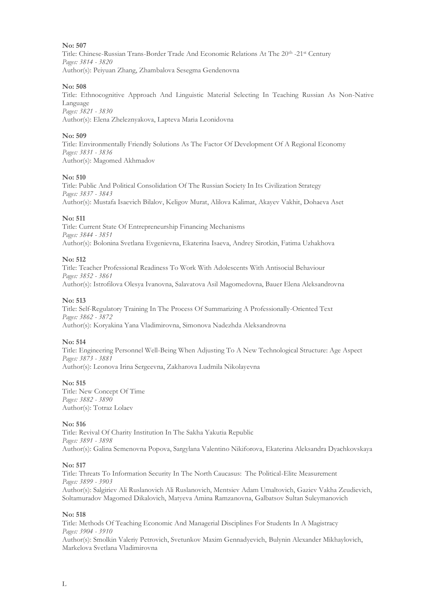Title: Chinese-Russian Trans-Border Trade And Economic Relations At The 20th -21st Century *Pages: 3814 - 3820* Author(s): Peiyuan Zhang, Zhambalova Sesegma Gendenovna

### **No: 508**

Title: Ethnocognitive Approach And Linguistic Material Selecting In Teaching Russian As Non-Native Language *Pages: 3821 - 3830* Author(s): Elena Zheleznyakova, Lapteva Maria Leonidovna

### **No: 509**

Title: Environmentally Friendly Solutions As The Factor Of Development Of A Regional Economy *Pages: 3831 - 3836* Author(s): Magomed Akhmadov

### **No: 510**

Title: Public And Political Consolidation Of The Russian Society In Its Civilization Strategy *Pages: 3837 - 3843* Author(s): Mustafa Isaevich Bilalov, Keligov Murat, Alilova Kalimat, Akayev Vakhit, Dohaeva Aset

### **No: 511**

Title: Current State Of Entrepreneurship Financing Mechanisms *Pages: 3844 - 3851* Author(s): Bolonina Svetlana Evgenievna, Ekaterina Isaeva, Andrey Sirotkin, Fatima Uzhakhova

### **No: 512**

Title: Teacher Professional Readiness To Work With Adolescents With Antisocial Behaviour *Pages: 3852 - 3861* Author(s): Istrofilova Olesya Ivanovna, Salavatova Asil Magomedovna, Bauer Elena Aleksandrovna

### **No: 513**

Title: Self-Regulatory Training In The Process Of Summarizing A Professionally-Oriented Text *Pages: 3862 - 3872* Author(s): Koryakina Yana Vladimirovna, Simonova Nadezhda Aleksandrovna

### **No: 514**

Title: Engineering Personnel Well-Being When Adjusting To A New Technological Structure: Age Aspect *Pages: 3873 - 3881* Author(s): Leonova Irina Sergeevna, Zakharova Ludmila Nikolayevna

### **No: 515**

Title: New Concept Of Time *Pages: 3882 - 3890* Author(s): Totraz Lolaev

### **No: 516**

Title: Revival Of Charity Institution In The Sakha Yakutia Republic *Pages: 3891 - 3898* Author(s): Galina Semenovna Popova, Sargylana Valentino Nikiforova, Ekaterina Aleksandra Dyachkovskaya

### **No: 517**

Title: Threats To Information Security In The North Caucasus: The Political-Elite Measurement *Pages: 3899 - 3903* Author(s): Salgiriev Ali Ruslanovich Ali Ruslanovich, Mentsiev Adam Umaltovich, Gaziev Vakha Zeudievich, Soltamuradov Magomed Dikalovich, Matyeva Amina Ramzanovna, Galbatsov Sultan Suleymanovich

### **No: 518**

Title: Methods Of Teaching Economic And Managerial Disciplines For Students In A Magistracy *Pages: 3904 - 3910* Author(s): Smolkin Valeriy Petrovich, Svetunkov Maxim Gennadyevich, Bulynin Alexander Mikhaylovich, Markelova Svetlana Vladimirovna